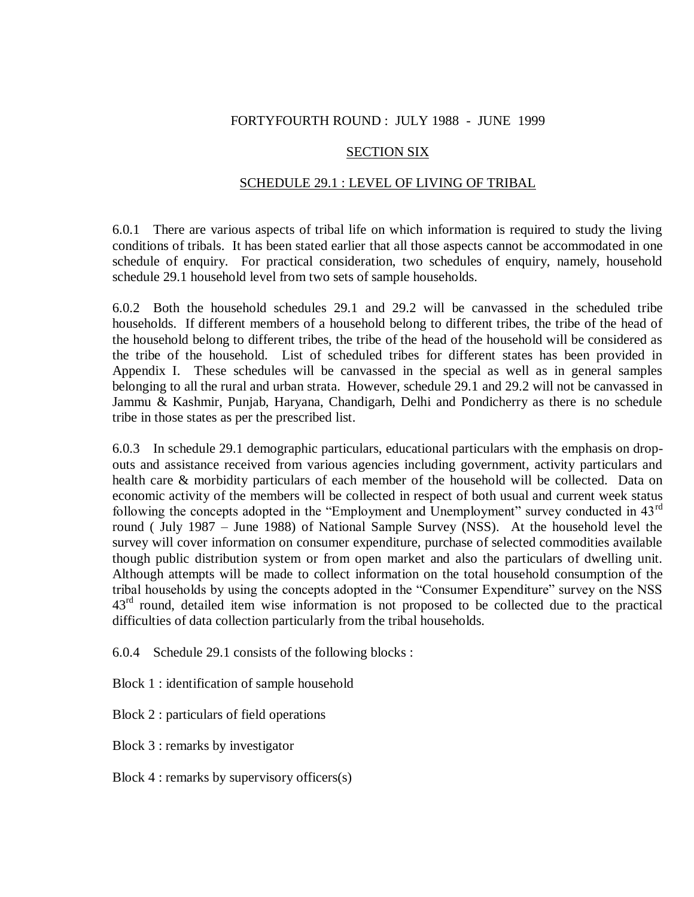## FORTYFOURTH ROUND : JULY 1988 - JUNE 1999

## SECTION SIX

## SCHEDULE 29.1 : LEVEL OF LIVING OF TRIBAL

6.0.1 There are various aspects of tribal life on which information is required to study the living conditions of tribals. It has been stated earlier that all those aspects cannot be accommodated in one schedule of enquiry. For practical consideration, two schedules of enquiry, namely, household schedule 29.1 household level from two sets of sample households.

6.0.2 Both the household schedules 29.1 and 29.2 will be canvassed in the scheduled tribe households. If different members of a household belong to different tribes, the tribe of the head of the household belong to different tribes, the tribe of the head of the household will be considered as the tribe of the household. List of scheduled tribes for different states has been provided in Appendix I. These schedules will be canvassed in the special as well as in general samples belonging to all the rural and urban strata. However, schedule 29.1 and 29.2 will not be canvassed in Jammu & Kashmir, Punjab, Haryana, Chandigarh, Delhi and Pondicherry as there is no schedule tribe in those states as per the prescribed list.

6.0.3 In schedule 29.1 demographic particulars, educational particulars with the emphasis on dropouts and assistance received from various agencies including government, activity particulars and health care & morbidity particulars of each member of the household will be collected. Data on economic activity of the members will be collected in respect of both usual and current week status following the concepts adopted in the "Employment and Unemployment" survey conducted in 43<sup>rd</sup> round ( July 1987 – June 1988) of National Sample Survey (NSS). At the household level the survey will cover information on consumer expenditure, purchase of selected commodities available though public distribution system or from open market and also the particulars of dwelling unit. Although attempts will be made to collect information on the total household consumption of the tribal households by using the concepts adopted in the "Consumer Expenditure" survey on the NSS  $43<sup>rd</sup>$  round, detailed item wise information is not proposed to be collected due to the practical difficulties of data collection particularly from the tribal households.

6.0.4 Schedule 29.1 consists of the following blocks :

Block 1 : identification of sample household

Block 2 : particulars of field operations

Block 3 : remarks by investigator

Block 4 : remarks by supervisory officers(s)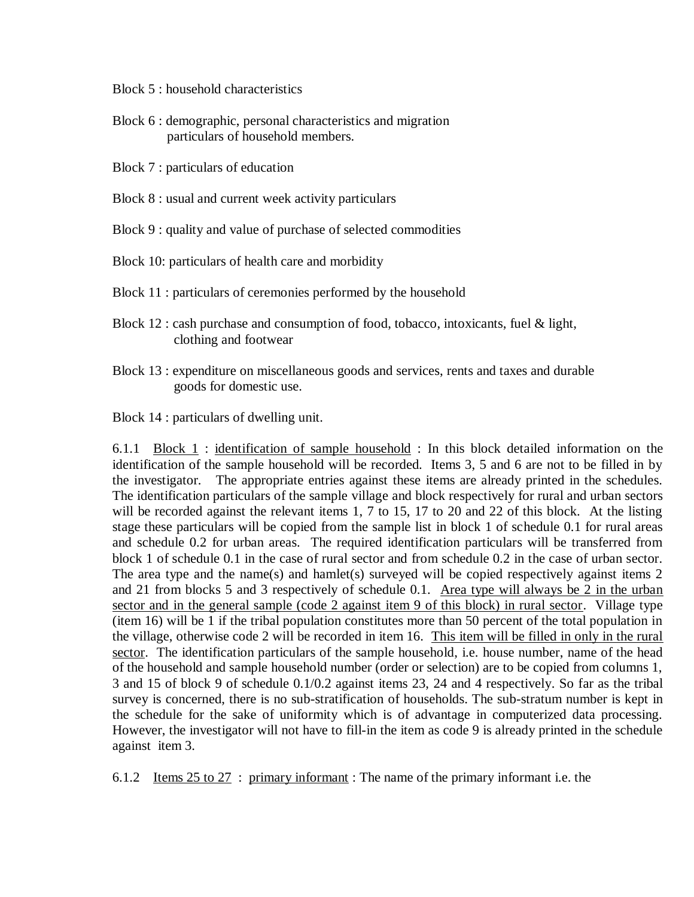Block 5 : household characteristics

- Block 6 : demographic, personal characteristics and migration particulars of household members.
- Block 7 : particulars of education
- Block 8 : usual and current week activity particulars

Block 9 : quality and value of purchase of selected commodities

Block 10: particulars of health care and morbidity

- Block 11 : particulars of ceremonies performed by the household
- Block 12 : cash purchase and consumption of food, tobacco, intoxicants, fuel & light, clothing and footwear
- Block 13 : expenditure on miscellaneous goods and services, rents and taxes and durable goods for domestic use.

Block 14 : particulars of dwelling unit.

6.1.1 Block 1 : identification of sample household : In this block detailed information on the identification of the sample household will be recorded. Items 3, 5 and 6 are not to be filled in by the investigator. The appropriate entries against these items are already printed in the schedules. The identification particulars of the sample village and block respectively for rural and urban sectors will be recorded against the relevant items 1, 7 to 15, 17 to 20 and 22 of this block. At the listing stage these particulars will be copied from the sample list in block 1 of schedule 0.1 for rural areas and schedule 0.2 for urban areas. The required identification particulars will be transferred from block 1 of schedule 0.1 in the case of rural sector and from schedule 0.2 in the case of urban sector. The area type and the name(s) and hamlet(s) surveyed will be copied respectively against items 2 and 21 from blocks 5 and 3 respectively of schedule 0.1. Area type will always be 2 in the urban sector and in the general sample (code 2 against item 9 of this block) in rural sector. Village type (item 16) will be 1 if the tribal population constitutes more than 50 percent of the total population in the village, otherwise code 2 will be recorded in item 16. This item will be filled in only in the rural sector. The identification particulars of the sample household, i.e. house number, name of the head of the household and sample household number (order or selection) are to be copied from columns 1, 3 and 15 of block 9 of schedule 0.1/0.2 against items 23, 24 and 4 respectively. So far as the tribal survey is concerned, there is no sub-stratification of households. The sub-stratum number is kept in the schedule for the sake of uniformity which is of advantage in computerized data processing. However, the investigator will not have to fill-in the item as code 9 is already printed in the schedule against item 3.

6.1.2 Items 25 to 27 : primary informant : The name of the primary informant i.e. the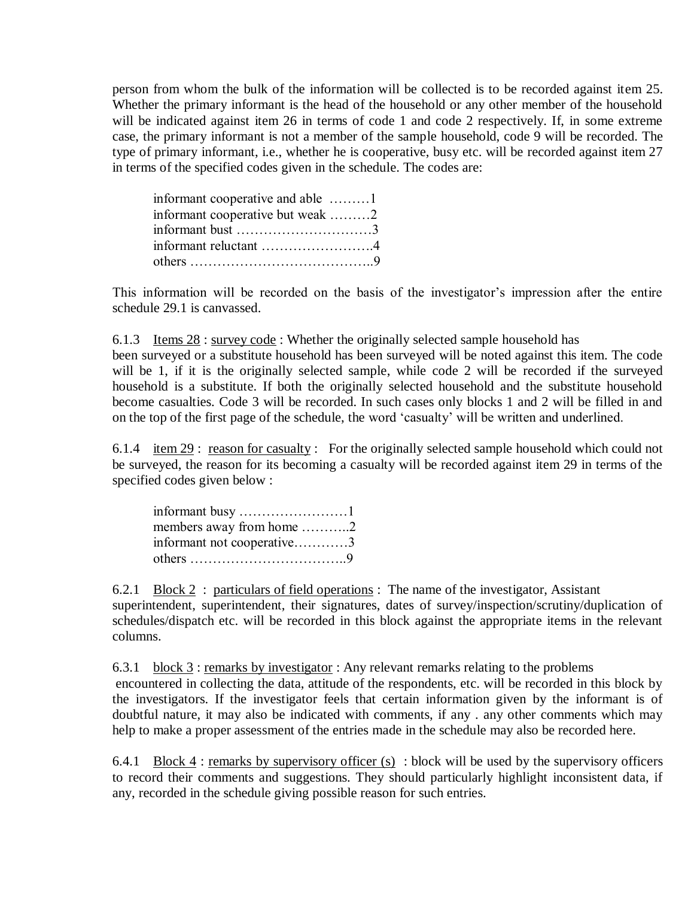person from whom the bulk of the information will be collected is to be recorded against item 25. Whether the primary informant is the head of the household or any other member of the household will be indicated against item 26 in terms of code 1 and code 2 respectively. If, in some extreme case, the primary informant is not a member of the sample household, code 9 will be recorded. The type of primary informant, i.e., whether he is cooperative, busy etc. will be recorded against item 27 in terms of the specified codes given in the schedule. The codes are:

| informant cooperative and able                                   |  |
|------------------------------------------------------------------|--|
| informant cooperative but weak 2                                 |  |
| informant bust $\dots \dots \dots \dots \dots \dots \dots \dots$ |  |
| informant reluctant 4                                            |  |
|                                                                  |  |

This information will be recorded on the basis of the investigator's impression after the entire schedule 29.1 is canvassed.

6.1.3 Items 28 : survey code : Whether the originally selected sample household has been surveyed or a substitute household has been surveyed will be noted against this item. The code will be 1, if it is the originally selected sample, while code 2 will be recorded if the surveyed household is a substitute. If both the originally selected household and the substitute household become casualties. Code 3 will be recorded. In such cases only blocks 1 and 2 will be filled in and on the top of the first page of the schedule, the word "casualty" will be written and underlined.

6.1.4 item 29: reason for casualty: For the originally selected sample household which could not be surveyed, the reason for its becoming a casualty will be recorded against item 29 in terms of the specified codes given below :

| informant busy $\dots \dots \dots \dots \dots \dots 1$ |  |
|--------------------------------------------------------|--|
| members away from home $\dots\dots\dots2$              |  |
| informant not cooperative3                             |  |
|                                                        |  |

6.2.1 Block 2 : particulars of field operations : The name of the investigator, Assistant superintendent, superintendent, their signatures, dates of survey/inspection/scrutiny/duplication of schedules/dispatch etc. will be recorded in this block against the appropriate items in the relevant columns.

6.3.1 block 3 : remarks by investigator : Any relevant remarks relating to the problems encountered in collecting the data, attitude of the respondents, etc. will be recorded in this block by the investigators. If the investigator feels that certain information given by the informant is of doubtful nature, it may also be indicated with comments, if any . any other comments which may help to make a proper assessment of the entries made in the schedule may also be recorded here.

6.4.1 Block  $4$ : remarks by supervisory officer (s) : block will be used by the supervisory officers to record their comments and suggestions. They should particularly highlight inconsistent data, if any, recorded in the schedule giving possible reason for such entries.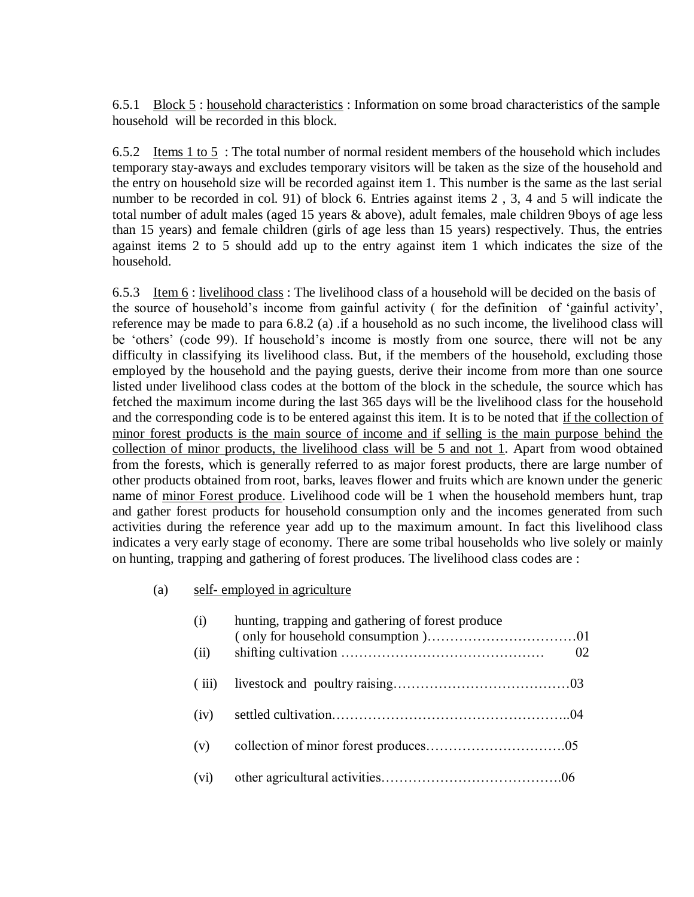6.5.1 Block 5 : household characteristics : Information on some broad characteristics of the sample household will be recorded in this block.

6.5.2 Items 1 to 5 : The total number of normal resident members of the household which includes temporary stay-aways and excludes temporary visitors will be taken as the size of the household and the entry on household size will be recorded against item 1. This number is the same as the last serial number to be recorded in col. 91) of block 6. Entries against items 2 , 3, 4 and 5 will indicate the total number of adult males (aged 15 years & above), adult females, male children 9boys of age less than 15 years) and female children (girls of age less than 15 years) respectively. Thus, the entries against items 2 to 5 should add up to the entry against item 1 which indicates the size of the household.

6.5.3 Item 6 : livelihood class : The livelihood class of a household will be decided on the basis of the source of household"s income from gainful activity ( for the definition of "gainful activity", reference may be made to para 6.8.2 (a) .if a household as no such income, the livelihood class will be 'others' (code 99). If household's income is mostly from one source, there will not be any difficulty in classifying its livelihood class. But, if the members of the household, excluding those employed by the household and the paying guests, derive their income from more than one source listed under livelihood class codes at the bottom of the block in the schedule, the source which has fetched the maximum income during the last 365 days will be the livelihood class for the household and the corresponding code is to be entered against this item. It is to be noted that if the collection of minor forest products is the main source of income and if selling is the main purpose behind the collection of minor products, the livelihood class will be 5 and not 1. Apart from wood obtained from the forests, which is generally referred to as major forest products, there are large number of other products obtained from root, barks, leaves flower and fruits which are known under the generic name of minor Forest produce. Livelihood code will be 1 when the household members hunt, trap and gather forest products for household consumption only and the incomes generated from such activities during the reference year add up to the maximum amount. In fact this livelihood class indicates a very early stage of economy. There are some tribal households who live solely or mainly on hunting, trapping and gathering of forest produces. The livelihood class codes are :

# (a) self- employed in agriculture

| (i)   | hunting, trapping and gathering of forest produce |    |
|-------|---------------------------------------------------|----|
| (ii)  |                                                   | 02 |
| (iii) |                                                   |    |
| (iv)  |                                                   |    |
| (v)   |                                                   |    |
| (vi)  |                                                   |    |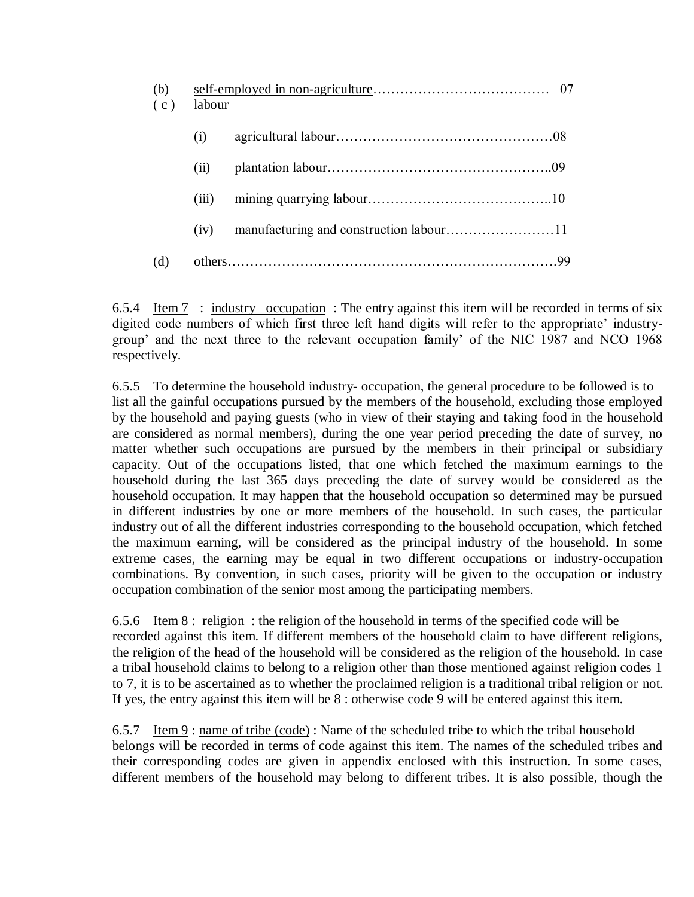| (b)<br>(c) | labour |  |  |  |
|------------|--------|--|--|--|
|            | (i)    |  |  |  |
|            | (ii)   |  |  |  |
|            | (iii)  |  |  |  |
|            | (iv)   |  |  |  |
| (d)        |        |  |  |  |

6.5.4 Item 7: industry –occupation: The entry against this item will be recorded in terms of six digited code numbers of which first three left hand digits will refer to the appropriate' industrygroup" and the next three to the relevant occupation family" of the NIC 1987 and NCO 1968 respectively.

6.5.5 To determine the household industry- occupation, the general procedure to be followed is to list all the gainful occupations pursued by the members of the household, excluding those employed by the household and paying guests (who in view of their staying and taking food in the household are considered as normal members), during the one year period preceding the date of survey, no matter whether such occupations are pursued by the members in their principal or subsidiary capacity. Out of the occupations listed, that one which fetched the maximum earnings to the household during the last 365 days preceding the date of survey would be considered as the household occupation. It may happen that the household occupation so determined may be pursued in different industries by one or more members of the household. In such cases, the particular industry out of all the different industries corresponding to the household occupation, which fetched the maximum earning, will be considered as the principal industry of the household. In some extreme cases, the earning may be equal in two different occupations or industry-occupation combinations. By convention, in such cases, priority will be given to the occupation or industry occupation combination of the senior most among the participating members.

6.5.6 Item 8 : religion : the religion of the household in terms of the specified code will be recorded against this item. If different members of the household claim to have different religions, the religion of the head of the household will be considered as the religion of the household. In case a tribal household claims to belong to a religion other than those mentioned against religion codes 1 to 7, it is to be ascertained as to whether the proclaimed religion is a traditional tribal religion or not. If yes, the entry against this item will be 8 : otherwise code 9 will be entered against this item.

6.5.7 Item  $9:$  name of tribe (code): Name of the scheduled tribe to which the tribal household belongs will be recorded in terms of code against this item. The names of the scheduled tribes and their corresponding codes are given in appendix enclosed with this instruction. In some cases, different members of the household may belong to different tribes. It is also possible, though the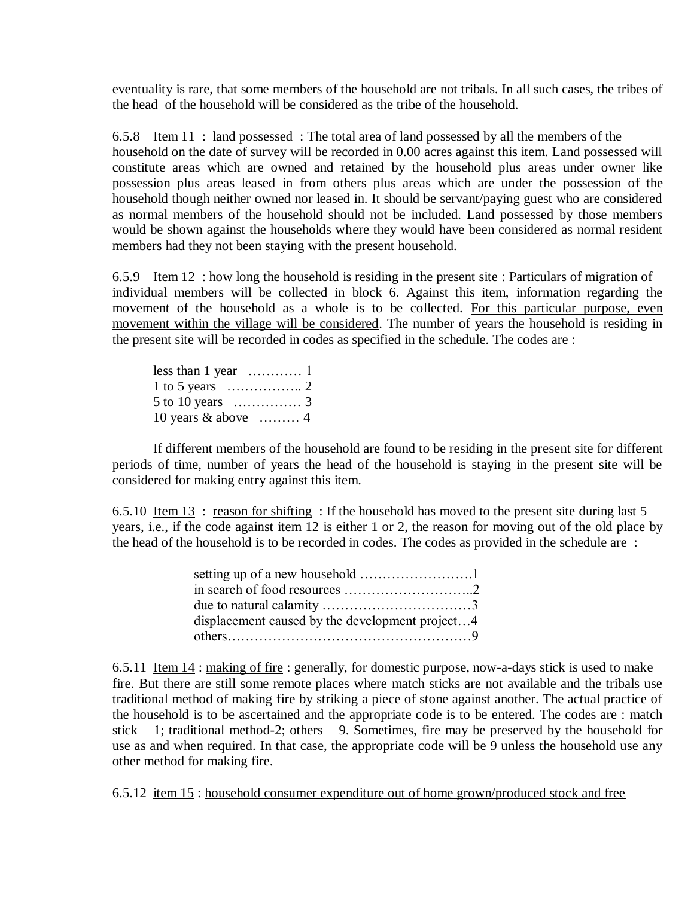eventuality is rare, that some members of the household are not tribals. In all such cases, the tribes of the head of the household will be considered as the tribe of the household.

6.5.8 Item 11 : land possessed : The total area of land possessed by all the members of the household on the date of survey will be recorded in 0.00 acres against this item. Land possessed will constitute areas which are owned and retained by the household plus areas under owner like possession plus areas leased in from others plus areas which are under the possession of the household though neither owned nor leased in. It should be servant/paying guest who are considered as normal members of the household should not be included. Land possessed by those members would be shown against the households where they would have been considered as normal resident members had they not been staying with the present household.

6.5.9 Item 12 : how long the household is residing in the present site : Particulars of migration of individual members will be collected in block 6. Against this item, information regarding the movement of the household as a whole is to be collected. For this particular purpose, even movement within the village will be considered. The number of years the household is residing in the present site will be recorded in codes as specified in the schedule. The codes are :

| less than 1 year $\dots \dots \dots 1$    |  |
|-------------------------------------------|--|
|                                           |  |
|                                           |  |
| 10 years $\&$ above $\dots \dots \dots$ 4 |  |

If different members of the household are found to be residing in the present site for different periods of time, number of years the head of the household is staying in the present site will be considered for making entry against this item.

6.5.10 Item 13 : reason for shifting : If the household has moved to the present site during last 5 years, i.e., if the code against item 12 is either 1 or 2, the reason for moving out of the old place by the head of the household is to be recorded in codes. The codes as provided in the schedule are :

| displacement caused by the development project4 |  |
|-------------------------------------------------|--|
|                                                 |  |

6.5.11 Item 14 : making of fire : generally, for domestic purpose, now-a-days stick is used to make fire. But there are still some remote places where match sticks are not available and the tribals use traditional method of making fire by striking a piece of stone against another. The actual practice of the household is to be ascertained and the appropriate code is to be entered. The codes are : match stick – 1; traditional method-2; others – 9. Sometimes, fire may be preserved by the household for use as and when required. In that case, the appropriate code will be 9 unless the household use any other method for making fire.

6.5.12 item 15 : household consumer expenditure out of home grown/produced stock and free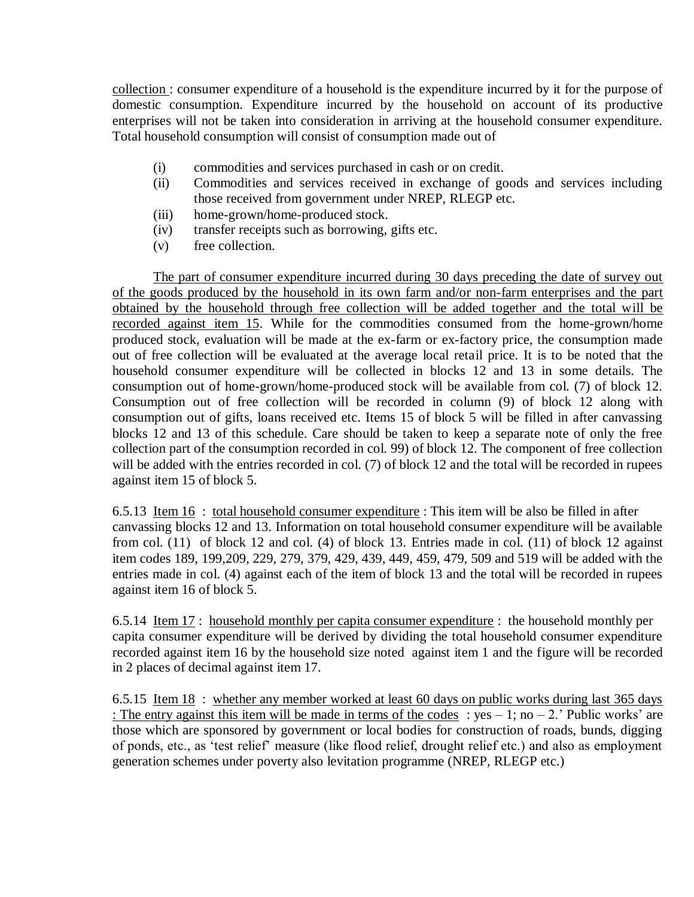collection : consumer expenditure of a household is the expenditure incurred by it for the purpose of domestic consumption. Expenditure incurred by the household on account of its productive enterprises will not be taken into consideration in arriving at the household consumer expenditure. Total household consumption will consist of consumption made out of

- (i) commodities and services purchased in cash or on credit.
- (ii) Commodities and services received in exchange of goods and services including those received from government under NREP, RLEGP etc.
- (iii) home-grown/home-produced stock.
- (iv) transfer receipts such as borrowing, gifts etc.
- (v) free collection.

The part of consumer expenditure incurred during 30 days preceding the date of survey out of the goods produced by the household in its own farm and/or non-farm enterprises and the part obtained by the household through free collection will be added together and the total will be recorded against item 15. While for the commodities consumed from the home-grown/home produced stock, evaluation will be made at the ex-farm or ex-factory price, the consumption made out of free collection will be evaluated at the average local retail price. It is to be noted that the household consumer expenditure will be collected in blocks 12 and 13 in some details. The consumption out of home-grown/home-produced stock will be available from col. (7) of block 12. Consumption out of free collection will be recorded in column (9) of block 12 along with consumption out of gifts, loans received etc. Items 15 of block 5 will be filled in after canvassing blocks 12 and 13 of this schedule. Care should be taken to keep a separate note of only the free collection part of the consumption recorded in col. 99) of block 12. The component of free collection will be added with the entries recorded in col. (7) of block 12 and the total will be recorded in rupees against item 15 of block 5.

6.5.13 Item 16 : total household consumer expenditure : This item will be also be filled in after canvassing blocks 12 and 13. Information on total household consumer expenditure will be available from col. (11) of block 12 and col. (4) of block 13. Entries made in col. (11) of block 12 against item codes 189, 199,209, 229, 279, 379, 429, 439, 449, 459, 479, 509 and 519 will be added with the entries made in col. (4) against each of the item of block 13 and the total will be recorded in rupees against item 16 of block 5.

6.5.14 Item 17 : household monthly per capita consumer expenditure : the household monthly per capita consumer expenditure will be derived by dividing the total household consumer expenditure recorded against item 16 by the household size noted against item 1 and the figure will be recorded in 2 places of decimal against item 17.

6.5.15 Item 18 : whether any member worked at least 60 days on public works during last 365 days : The entry against this item will be made in terms of the codes : yes – 1; no – 2.' Public works' are those which are sponsored by government or local bodies for construction of roads, bunds, digging of ponds, etc., as "test relief" measure (like flood relief, drought relief etc.) and also as employment generation schemes under poverty also levitation programme (NREP, RLEGP etc.)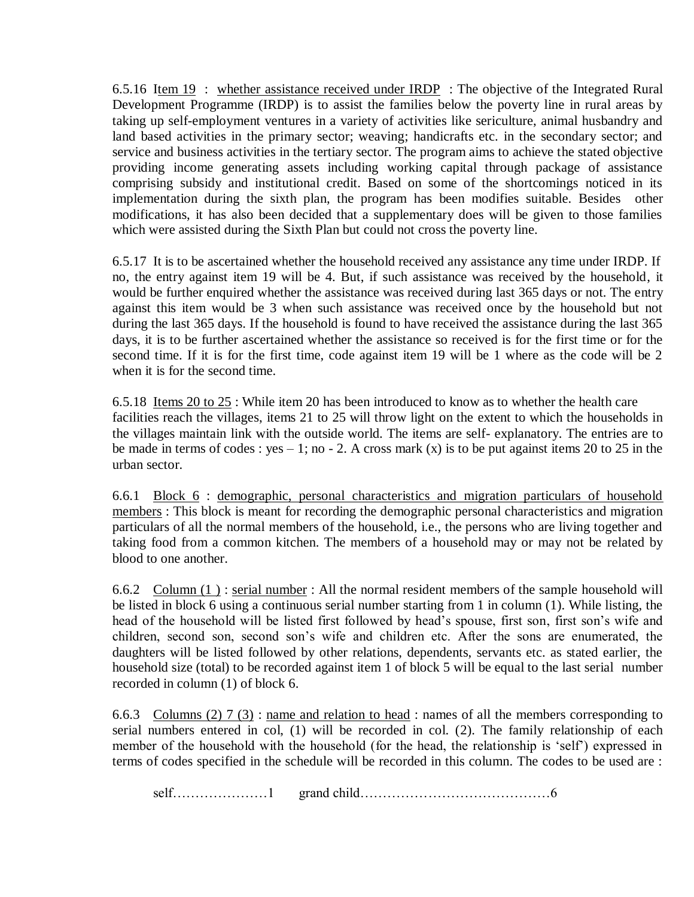6.5.16 Item 19 : whether assistance received under IRDP : The objective of the Integrated Rural Development Programme (IRDP) is to assist the families below the poverty line in rural areas by taking up self-employment ventures in a variety of activities like sericulture, animal husbandry and land based activities in the primary sector; weaving; handicrafts etc. in the secondary sector; and service and business activities in the tertiary sector. The program aims to achieve the stated objective providing income generating assets including working capital through package of assistance comprising subsidy and institutional credit. Based on some of the shortcomings noticed in its implementation during the sixth plan, the program has been modifies suitable. Besides other modifications, it has also been decided that a supplementary does will be given to those families which were assisted during the Sixth Plan but could not cross the poverty line.

6.5.17 It is to be ascertained whether the household received any assistance any time under IRDP. If no, the entry against item 19 will be 4. But, if such assistance was received by the household, it would be further enquired whether the assistance was received during last 365 days or not. The entry against this item would be 3 when such assistance was received once by the household but not during the last 365 days. If the household is found to have received the assistance during the last 365 days, it is to be further ascertained whether the assistance so received is for the first time or for the second time. If it is for the first time, code against item 19 will be 1 where as the code will be 2 when it is for the second time.

6.5.18 Items 20 to 25 : While item 20 has been introduced to know as to whether the health care facilities reach the villages, items 21 to 25 will throw light on the extent to which the households in the villages maintain link with the outside world. The items are self- explanatory. The entries are to be made in terms of codes : yes – 1; no - 2. A cross mark (x) is to be put against items 20 to 25 in the urban sector.

6.6.1 Block 6 : demographic, personal characteristics and migration particulars of household members : This block is meant for recording the demographic personal characteristics and migration particulars of all the normal members of the household, i.e., the persons who are living together and taking food from a common kitchen. The members of a household may or may not be related by blood to one another.

6.6.2 Column  $(1)$ : serial number: All the normal resident members of the sample household will be listed in block 6 using a continuous serial number starting from 1 in column (1). While listing, the head of the household will be listed first followed by head"s spouse, first son, first son"s wife and children, second son, second son"s wife and children etc. After the sons are enumerated, the daughters will be listed followed by other relations, dependents, servants etc. as stated earlier, the household size (total) to be recorded against item 1 of block 5 will be equal to the last serial number recorded in column (1) of block 6.

6.6.3 Columns (2) 7 (3) : name and relation to head : names of all the members corresponding to serial numbers entered in col, (1) will be recorded in col. (2). The family relationship of each member of the household with the household (for the head, the relationship is "self") expressed in terms of codes specified in the schedule will be recorded in this column. The codes to be used are :

self…………………1 grand child……………………………………6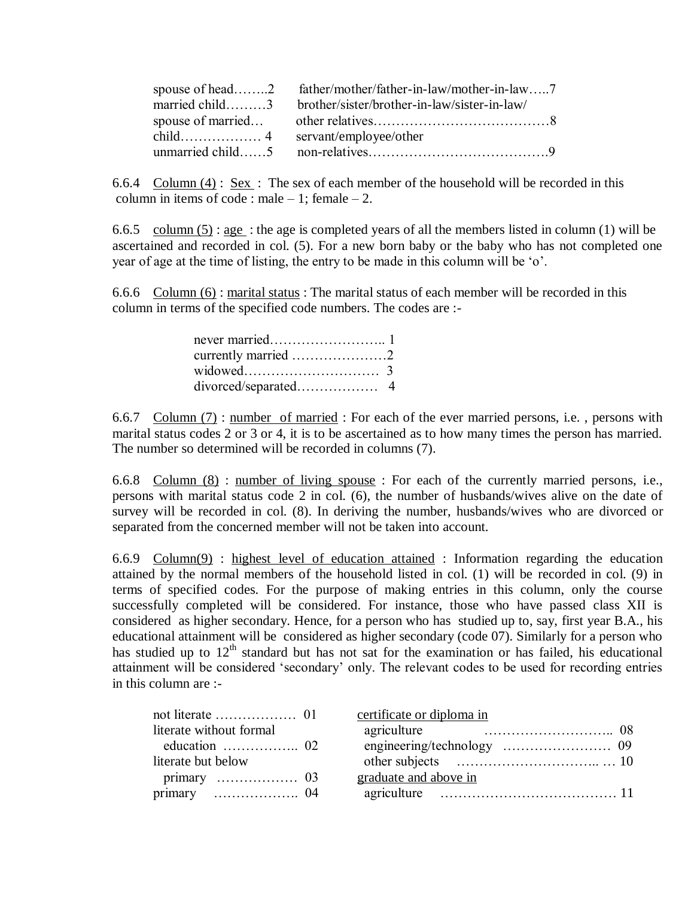| spouse of head2 father/mother/father-in-law/mother-in-law7  |
|-------------------------------------------------------------|
| married child3 brother/sister/brother-in-law/sister-in-law/ |
|                                                             |
|                                                             |
|                                                             |

6.6.4 Column (4) : Sex : The sex of each member of the household will be recorded in this column in items of code : male  $-1$ ; female  $-2$ .

6.6.5 column  $(5)$ : age: the age is completed years of all the members listed in column (1) will be ascertained and recorded in col. (5). For a new born baby or the baby who has not completed one year of age at the time of listing, the entry to be made in this column will be "o".

6.6.6 Column (6) : marital status : The marital status of each member will be recorded in this column in terms of the specified code numbers. The codes are :-

6.6.7 Column (7) : number of married : For each of the ever married persons, i.e. , persons with marital status codes 2 or 3 or 4, it is to be ascertained as to how many times the person has married. The number so determined will be recorded in columns (7).

6.6.8 Column (8) : number of living spouse : For each of the currently married persons, i.e., persons with marital status code 2 in col. (6), the number of husbands/wives alive on the date of survey will be recorded in col. (8). In deriving the number, husbands/wives who are divorced or separated from the concerned member will not be taken into account.

6.6.9 Column(9) : highest level of education attained : Information regarding the education attained by the normal members of the household listed in col. (1) will be recorded in col. (9) in terms of specified codes. For the purpose of making entries in this column, only the course successfully completed will be considered. For instance, those who have passed class XII is considered as higher secondary. Hence, for a person who has studied up to, say, first year B.A., his educational attainment will be considered as higher secondary (code 07). Similarly for a person who has studied up to  $12<sup>th</sup>$  standard but has not sat for the examination or has failed, his educational attainment will be considered "secondary" only. The relevant codes to be used for recording entries in this column are :-

| not literate $\dots\dots\dots\dots\dots \dots \dots$ 01 | certificate or diploma in |  |
|---------------------------------------------------------|---------------------------|--|
| literate without formal                                 |                           |  |
|                                                         |                           |  |
| literate but below                                      |                           |  |
|                                                         | graduate and above in     |  |
|                                                         |                           |  |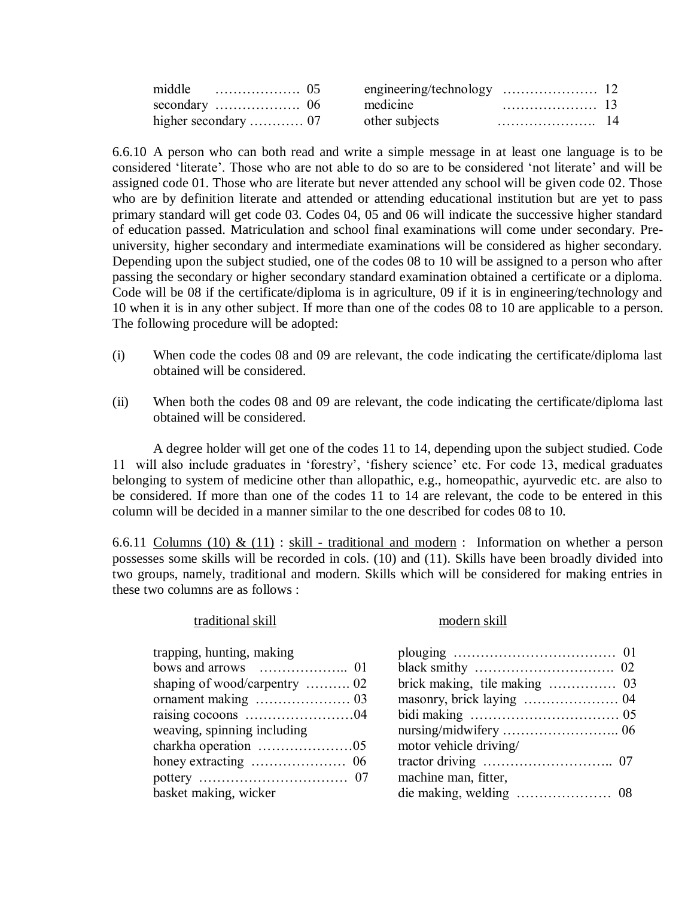| middle<br>. 05 |                |  |
|----------------|----------------|--|
|                | medicine       |  |
|                | other subjects |  |

6.6.10 A person who can both read and write a simple message in at least one language is to be considered "literate". Those who are not able to do so are to be considered "not literate" and will be assigned code 01. Those who are literate but never attended any school will be given code 02. Those who are by definition literate and attended or attending educational institution but are yet to pass primary standard will get code 03. Codes 04, 05 and 06 will indicate the successive higher standard of education passed. Matriculation and school final examinations will come under secondary. Preuniversity, higher secondary and intermediate examinations will be considered as higher secondary. Depending upon the subject studied, one of the codes 08 to 10 will be assigned to a person who after passing the secondary or higher secondary standard examination obtained a certificate or a diploma. Code will be 08 if the certificate/diploma is in agriculture, 09 if it is in engineering/technology and 10 when it is in any other subject. If more than one of the codes 08 to 10 are applicable to a person. The following procedure will be adopted:

- (i) When code the codes 08 and 09 are relevant, the code indicating the certificate/diploma last obtained will be considered.
- (ii) When both the codes 08 and 09 are relevant, the code indicating the certificate/diploma last obtained will be considered.

A degree holder will get one of the codes 11 to 14, depending upon the subject studied. Code 11 will also include graduates in "forestry", "fishery science" etc. For code 13, medical graduates belonging to system of medicine other than allopathic, e.g., homeopathic, ayurvedic etc. are also to be considered. If more than one of the codes 11 to 14 are relevant, the code to be entered in this column will be decided in a manner similar to the one described for codes 08 to 10.

6.6.11 Columns (10) & (11) : skill - traditional and modern : Information on whether a person possesses some skills will be recorded in cols. (10) and (11). Skills have been broadly divided into two groups, namely, traditional and modern. Skills which will be considered for making entries in these two columns are as follows :

#### traditional skill modern skill

| trapping, hunting, making     |                        |
|-------------------------------|------------------------|
|                               |                        |
| shaping of wood/carpentry  02 |                        |
|                               |                        |
|                               |                        |
| weaving, spinning including   |                        |
|                               | motor vehicle driving/ |
|                               |                        |
|                               | machine man, fitter,   |
| basket making, wicker         |                        |

| trapping, hunting, making                               |                        |  |
|---------------------------------------------------------|------------------------|--|
|                                                         |                        |  |
|                                                         |                        |  |
|                                                         |                        |  |
|                                                         |                        |  |
| weaving, spinning including                             |                        |  |
| charkha operation $\dots\dots\dots\dots\dots\dots\dots$ | motor vehicle driving/ |  |
|                                                         |                        |  |
|                                                         | machine man, fitter,   |  |
| basket making, wicker                                   |                        |  |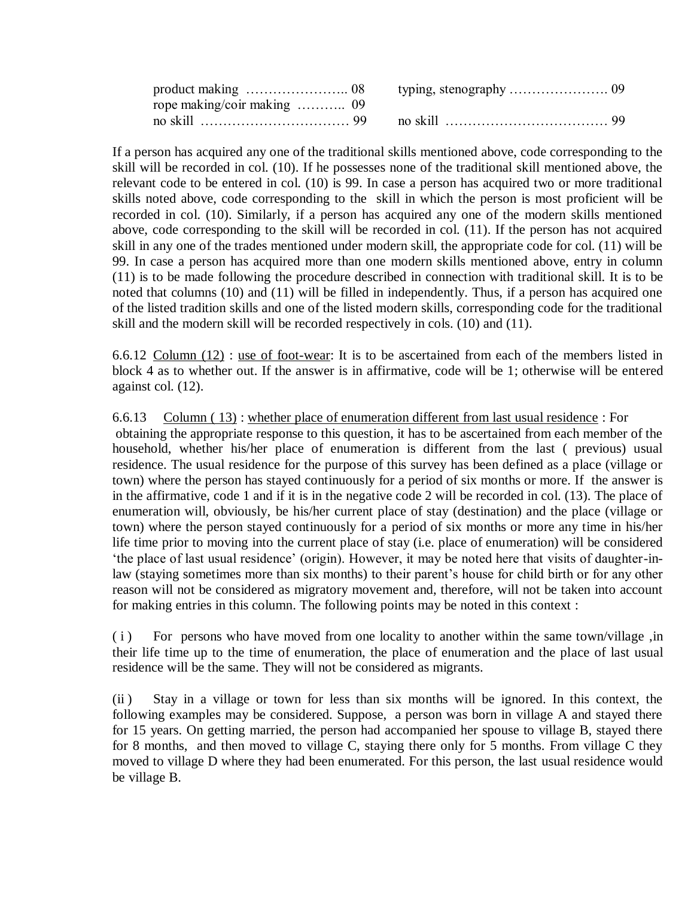If a person has acquired any one of the traditional skills mentioned above, code corresponding to the skill will be recorded in col. (10). If he possesses none of the traditional skill mentioned above, the relevant code to be entered in col. (10) is 99. In case a person has acquired two or more traditional skills noted above, code corresponding to the skill in which the person is most proficient will be recorded in col. (10). Similarly, if a person has acquired any one of the modern skills mentioned above, code corresponding to the skill will be recorded in col. (11). If the person has not acquired skill in any one of the trades mentioned under modern skill, the appropriate code for col. (11) will be 99. In case a person has acquired more than one modern skills mentioned above, entry in column (11) is to be made following the procedure described in connection with traditional skill. It is to be noted that columns (10) and (11) will be filled in independently. Thus, if a person has acquired one of the listed tradition skills and one of the listed modern skills, corresponding code for the traditional skill and the modern skill will be recorded respectively in cols. (10) and (11).

6.6.12 Column (12) : use of foot-wear: It is to be ascertained from each of the members listed in block 4 as to whether out. If the answer is in affirmative, code will be 1; otherwise will be entered against col. (12).

6.6.13 Column ( 13) : whether place of enumeration different from last usual residence : For obtaining the appropriate response to this question, it has to be ascertained from each member of the household, whether his/her place of enumeration is different from the last ( previous) usual residence. The usual residence for the purpose of this survey has been defined as a place (village or town) where the person has stayed continuously for a period of six months or more. If the answer is in the affirmative, code 1 and if it is in the negative code 2 will be recorded in col. (13). The place of enumeration will, obviously, be his/her current place of stay (destination) and the place (village or town) where the person stayed continuously for a period of six months or more any time in his/her life time prior to moving into the current place of stay (i.e. place of enumeration) will be considered "the place of last usual residence" (origin). However, it may be noted here that visits of daughter-inlaw (staying sometimes more than six months) to their parent's house for child birth or for any other reason will not be considered as migratory movement and, therefore, will not be taken into account for making entries in this column. The following points may be noted in this context :

(i) For persons who have moved from one locality to another within the same town/village, in their life time up to the time of enumeration, the place of enumeration and the place of last usual residence will be the same. They will not be considered as migrants.

(ii ) Stay in a village or town for less than six months will be ignored. In this context, the following examples may be considered. Suppose, a person was born in village A and stayed there for 15 years. On getting married, the person had accompanied her spouse to village B, stayed there for 8 months, and then moved to village C, staying there only for 5 months. From village C they moved to village D where they had been enumerated. For this person, the last usual residence would be village B.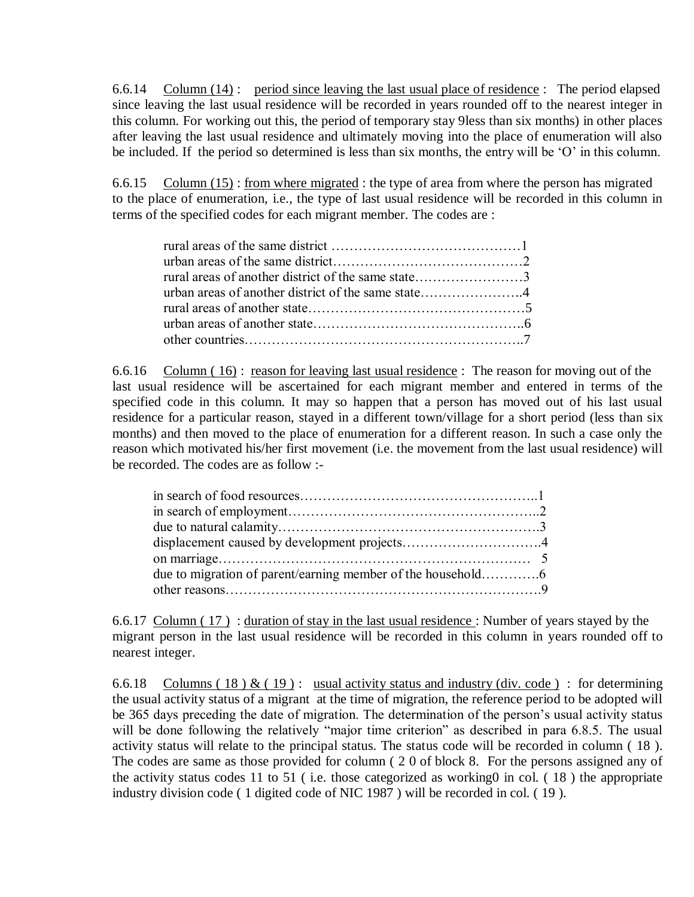6.6.14 Column (14) : period since leaving the last usual place of residence : The period elapsed since leaving the last usual residence will be recorded in years rounded off to the nearest integer in this column. For working out this, the period of temporary stay 9less than six months) in other places after leaving the last usual residence and ultimately moving into the place of enumeration will also be included. If the period so determined is less than six months, the entry will be 'O' in this column.

6.6.15 Column (15) : from where migrated : the type of area from where the person has migrated to the place of enumeration, i.e., the type of last usual residence will be recorded in this column in terms of the specified codes for each migrant member. The codes are :

6.6.16 Column ( 16) : reason for leaving last usual residence : The reason for moving out of the last usual residence will be ascertained for each migrant member and entered in terms of the specified code in this column. It may so happen that a person has moved out of his last usual residence for a particular reason, stayed in a different town/village for a short period (less than six months) and then moved to the place of enumeration for a different reason. In such a case only the reason which motivated his/her first movement (i.e. the movement from the last usual residence) will be recorded. The codes are as follow :-

6.6.17 Column ( 17 ) : duration of stay in the last usual residence : Number of years stayed by the migrant person in the last usual residence will be recorded in this column in years rounded off to nearest integer.

6.6.18 Columns (18) & (19): usual activity status and industry (div. code): for determining the usual activity status of a migrant at the time of migration, the reference period to be adopted will be 365 days preceding the date of migration. The determination of the person's usual activity status will be done following the relatively "major time criterion" as described in para 6.8.5. The usual activity status will relate to the principal status. The status code will be recorded in column ( 18 ). The codes are same as those provided for column ( 2 0 of block 8. For the persons assigned any of the activity status codes 11 to 51 ( i.e. those categorized as working0 in col. ( 18 ) the appropriate industry division code ( 1 digited code of NIC 1987 ) will be recorded in col. ( 19 ).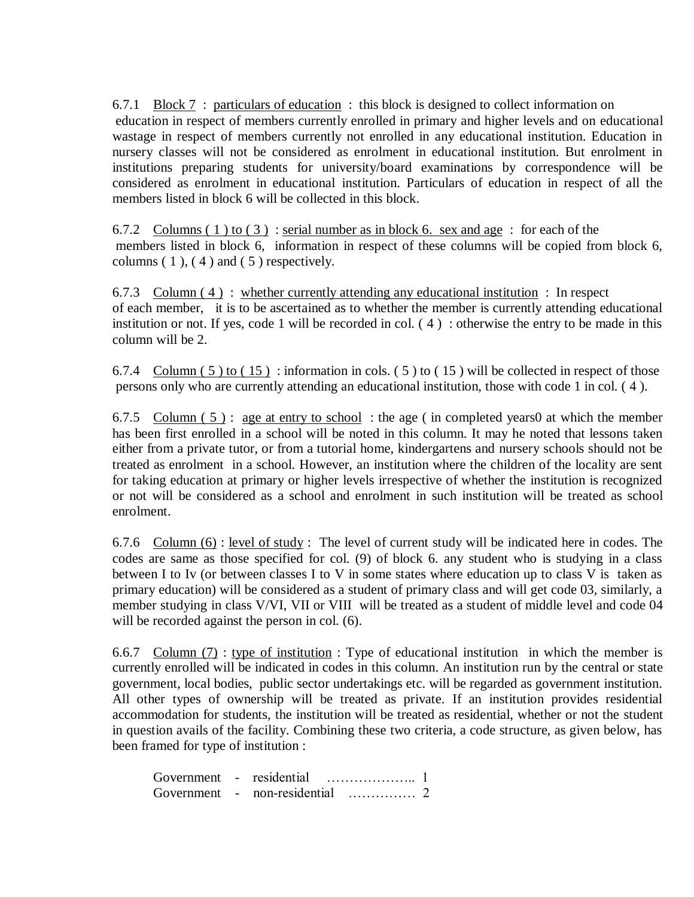6.7.1 Block 7: particulars of education: this block is designed to collect information on education in respect of members currently enrolled in primary and higher levels and on educational wastage in respect of members currently not enrolled in any educational institution. Education in nursery classes will not be considered as enrolment in educational institution. But enrolment in institutions preparing students for university/board examinations by correspondence will be considered as enrolment in educational institution. Particulars of education in respect of all the members listed in block 6 will be collected in this block.

6.7.2 Columns ( 1 ) to ( 3 ) : serial number as in block 6. sex and age : for each of the members listed in block 6, information in respect of these columns will be copied from block 6, columns  $(1)$ ,  $(4)$  and  $(5)$  respectively.

6.7.3 Column  $(4)$ : whether currently attending any educational institution : In respect of each member, it is to be ascertained as to whether the member is currently attending educational institution or not. If yes, code 1 will be recorded in col.  $(4)$ : otherwise the entry to be made in this column will be 2.

6.7.4 Column  $(5)$  to  $(15)$ : information in cols.  $(5)$  to  $(15)$  will be collected in respect of those persons only who are currently attending an educational institution, those with code 1 in col. ( 4 ).

6.7.5 Column  $(5)$ : age at entry to school: the age (in completed years 0 at which the member has been first enrolled in a school will be noted in this column. It may he noted that lessons taken either from a private tutor, or from a tutorial home, kindergartens and nursery schools should not be treated as enrolment in a school. However, an institution where the children of the locality are sent for taking education at primary or higher levels irrespective of whether the institution is recognized or not will be considered as a school and enrolment in such institution will be treated as school enrolment.

6.7.6 Column (6) : level of study : The level of current study will be indicated here in codes. The codes are same as those specified for col. (9) of block 6. any student who is studying in a class between I to Iv (or between classes I to V in some states where education up to class V is taken as primary education) will be considered as a student of primary class and will get code 03, similarly, a member studying in class V/VI, VII or VIII will be treated as a student of middle level and code 04 will be recorded against the person in col.  $(6)$ .

6.6.7 Column  $(7)$ : type of institution: Type of educational institution in which the member is currently enrolled will be indicated in codes in this column. An institution run by the central or state government, local bodies, public sector undertakings etc. will be regarded as government institution. All other types of ownership will be treated as private. If an institution provides residential accommodation for students, the institution will be treated as residential, whether or not the student in question avails of the facility. Combining these two criteria, a code structure, as given below, has been framed for type of institution :

| Government - residential |                                     |  |
|--------------------------|-------------------------------------|--|
|                          | Government - non-residential<br>. 2 |  |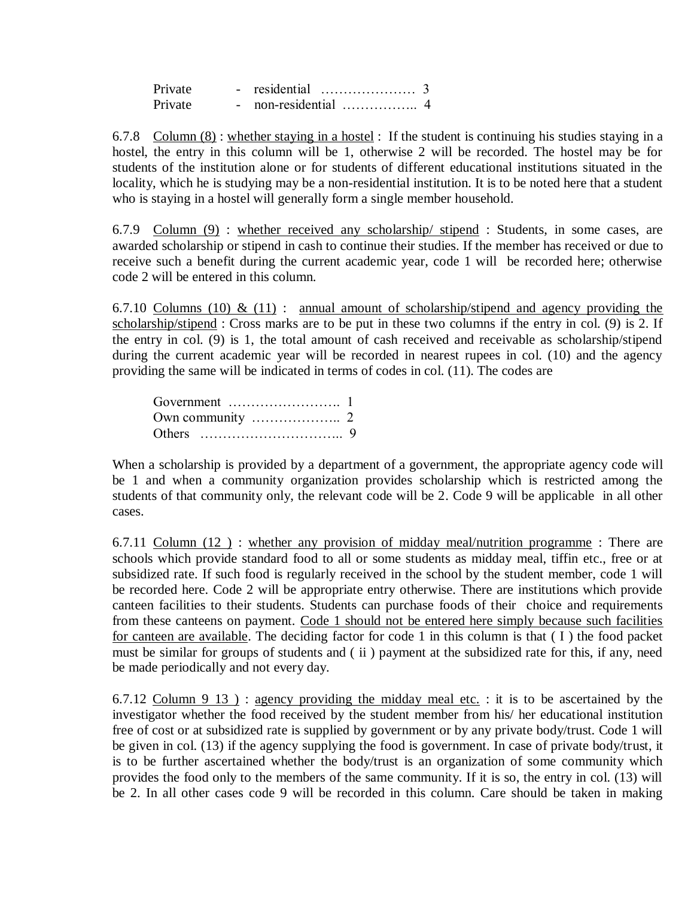| Private |  |  |
|---------|--|--|
| Private |  |  |

6.7.8 Column (8) : whether staying in a hostel : If the student is continuing his studies staying in a hostel, the entry in this column will be 1, otherwise 2 will be recorded. The hostel may be for students of the institution alone or for students of different educational institutions situated in the locality, which he is studying may be a non-residential institution. It is to be noted here that a student who is staying in a hostel will generally form a single member household.

6.7.9 Column (9) : whether received any scholarship/ stipend : Students, in some cases, are awarded scholarship or stipend in cash to continue their studies. If the member has received or due to receive such a benefit during the current academic year, code 1 will be recorded here; otherwise code 2 will be entered in this column.

6.7.10 Columns (10) & (11) : annual amount of scholarship/stipend and agency providing the scholarship/stipend : Cross marks are to be put in these two columns if the entry in col. (9) is 2. If the entry in col. (9) is 1, the total amount of cash received and receivable as scholarship/stipend during the current academic year will be recorded in nearest rupees in col. (10) and the agency providing the same will be indicated in terms of codes in col. (11). The codes are

| Government $\dots\dots\dots\dots\dots\dots\dots$ |  |
|--------------------------------------------------|--|
|                                                  |  |
|                                                  |  |

When a scholarship is provided by a department of a government, the appropriate agency code will be 1 and when a community organization provides scholarship which is restricted among the students of that community only, the relevant code will be 2. Code 9 will be applicable in all other cases.

6.7.11 Column (12 ) : whether any provision of midday meal/nutrition programme : There are schools which provide standard food to all or some students as midday meal, tiffin etc., free or at subsidized rate. If such food is regularly received in the school by the student member, code 1 will be recorded here. Code 2 will be appropriate entry otherwise. There are institutions which provide canteen facilities to their students. Students can purchase foods of their choice and requirements from these canteens on payment. Code 1 should not be entered here simply because such facilities for canteen are available. The deciding factor for code 1 in this column is that ( I ) the food packet must be similar for groups of students and (ii) payment at the subsidized rate for this, if any, need be made periodically and not every day.

6.7.12 Column  $9\;13$ ) : agency providing the midday meal etc. : it is to be ascertained by the investigator whether the food received by the student member from his/ her educational institution free of cost or at subsidized rate is supplied by government or by any private body/trust. Code 1 will be given in col. (13) if the agency supplying the food is government. In case of private body/trust, it is to be further ascertained whether the body/trust is an organization of some community which provides the food only to the members of the same community. If it is so, the entry in col. (13) will be 2. In all other cases code 9 will be recorded in this column. Care should be taken in making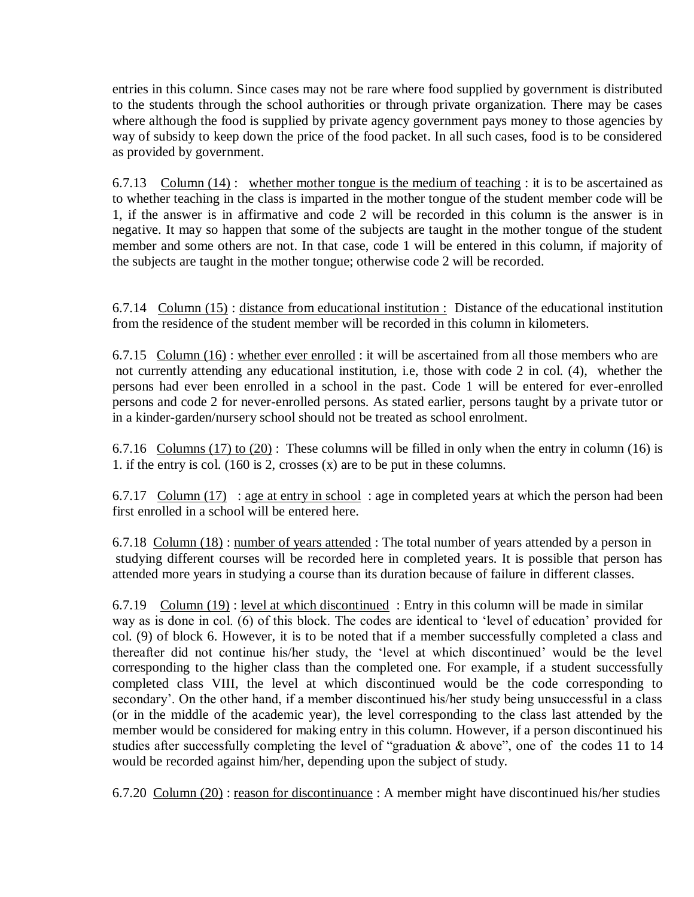entries in this column. Since cases may not be rare where food supplied by government is distributed to the students through the school authorities or through private organization. There may be cases where although the food is supplied by private agency government pays money to those agencies by way of subsidy to keep down the price of the food packet. In all such cases, food is to be considered as provided by government.

6.7.13 Column  $(14)$ : whether mother tongue is the medium of teaching : it is to be ascertained as to whether teaching in the class is imparted in the mother tongue of the student member code will be 1, if the answer is in affirmative and code 2 will be recorded in this column is the answer is in negative. It may so happen that some of the subjects are taught in the mother tongue of the student member and some others are not. In that case, code 1 will be entered in this column, if majority of the subjects are taught in the mother tongue; otherwise code 2 will be recorded.

6.7.14 Column (15) : distance from educational institution : Distance of the educational institution from the residence of the student member will be recorded in this column in kilometers.

6.7.15 Column  $(16)$ : whether ever enrolled : it will be ascertained from all those members who are not currently attending any educational institution, i.e, those with code 2 in col. (4), whether the persons had ever been enrolled in a school in the past. Code 1 will be entered for ever-enrolled persons and code 2 for never-enrolled persons. As stated earlier, persons taught by a private tutor or in a kinder-garden/nursery school should not be treated as school enrolment.

6.7.16 Columns (17) to (20): These columns will be filled in only when the entry in column (16) is 1. if the entry is col. (160 is 2, crosses (x) are to be put in these columns.

6.7.17 Column (17) : age at entry in school : age in completed years at which the person had been first enrolled in a school will be entered here.

6.7.18 Column (18) : number of years attended : The total number of years attended by a person in studying different courses will be recorded here in completed years. It is possible that person has attended more years in studying a course than its duration because of failure in different classes.

6.7.19 Column (19) : level at which discontinued : Entry in this column will be made in similar way as is done in col. (6) of this block. The codes are identical to "level of education" provided for col. (9) of block 6. However, it is to be noted that if a member successfully completed a class and thereafter did not continue his/her study, the "level at which discontinued" would be the level corresponding to the higher class than the completed one. For example, if a student successfully completed class VIII, the level at which discontinued would be the code corresponding to secondary'. On the other hand, if a member discontinued his/her study being unsuccessful in a class (or in the middle of the academic year), the level corresponding to the class last attended by the member would be considered for making entry in this column. However, if a person discontinued his studies after successfully completing the level of "graduation & above", one of the codes 11 to 14 would be recorded against him/her, depending upon the subject of study.

6.7.20 Column (20) : reason for discontinuance : A member might have discontinued his/her studies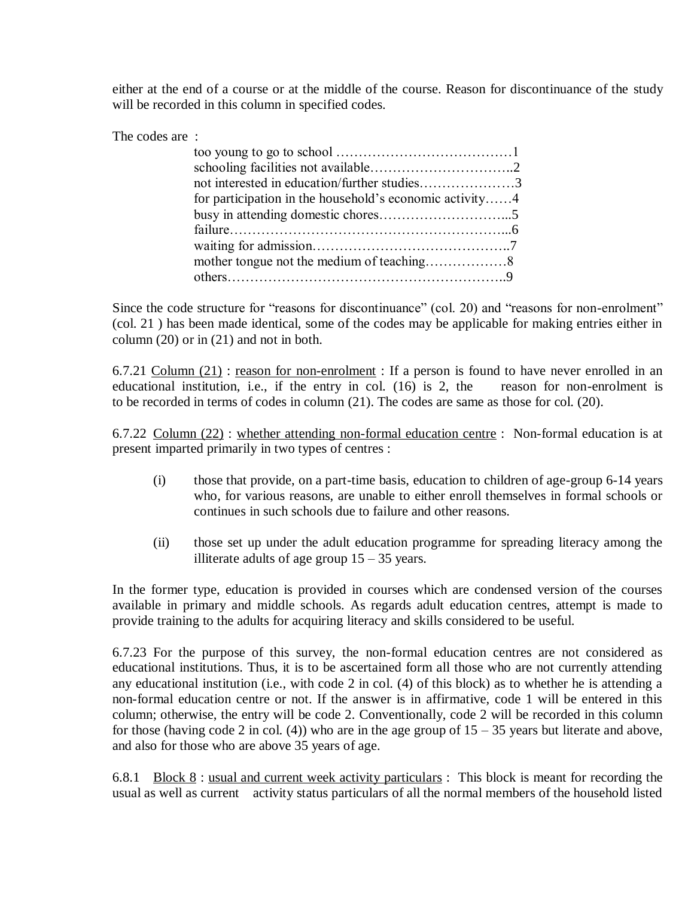either at the end of a course or at the middle of the course. Reason for discontinuance of the study will be recorded in this column in specified codes.

The codes are :

| not interested in education/further studies3            |  |
|---------------------------------------------------------|--|
| for participation in the household's economic activity4 |  |
|                                                         |  |
|                                                         |  |
|                                                         |  |
|                                                         |  |
|                                                         |  |

Since the code structure for "reasons for discontinuance" (col. 20) and "reasons for non-enrolment" (col. 21 ) has been made identical, some of the codes may be applicable for making entries either in column (20) or in (21) and not in both.

6.7.21 Column  $(21)$ : reason for non-enrolment : If a person is found to have never enrolled in an educational institution, i.e., if the entry in col. (16) is 2, the reason for non-enrolment is to be recorded in terms of codes in column (21). The codes are same as those for col. (20).

6.7.22 Column (22) : whether attending non-formal education centre : Non-formal education is at present imparted primarily in two types of centres :

- (i) those that provide, on a part-time basis, education to children of age-group 6-14 years who, for various reasons, are unable to either enroll themselves in formal schools or continues in such schools due to failure and other reasons.
- (ii) those set up under the adult education programme for spreading literacy among the illiterate adults of age group  $15 - 35$  years.

In the former type, education is provided in courses which are condensed version of the courses available in primary and middle schools. As regards adult education centres, attempt is made to provide training to the adults for acquiring literacy and skills considered to be useful.

6.7.23 For the purpose of this survey, the non-formal education centres are not considered as educational institutions. Thus, it is to be ascertained form all those who are not currently attending any educational institution (i.e., with code 2 in col. (4) of this block) as to whether he is attending a non-formal education centre or not. If the answer is in affirmative, code 1 will be entered in this column; otherwise, the entry will be code 2. Conventionally, code 2 will be recorded in this column for those (having code 2 in col. (4)) who are in the age group of  $15 - 35$  years but literate and above, and also for those who are above 35 years of age.

6.8.1 Block 8 : usual and current week activity particulars : This block is meant for recording the usual as well as current activity status particulars of all the normal members of the household listed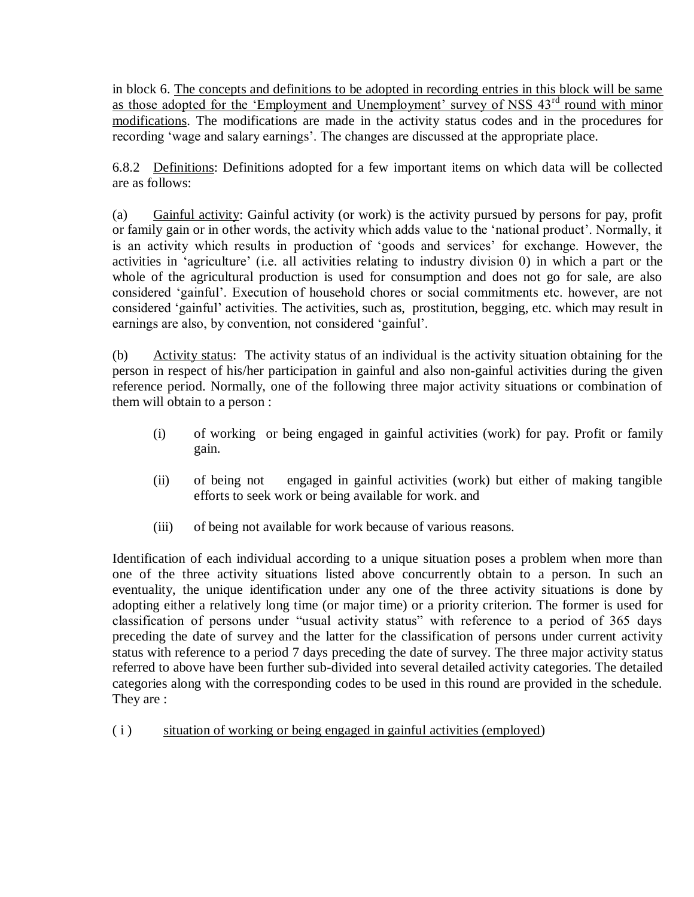in block 6. The concepts and definitions to be adopted in recording entries in this block will be same as those adopted for the 'Employment and Unemployment' survey of NSS 43<sup>rd</sup> round with minor modifications. The modifications are made in the activity status codes and in the procedures for recording 'wage and salary earnings'. The changes are discussed at the appropriate place.

6.8.2 Definitions: Definitions adopted for a few important items on which data will be collected are as follows:

(a) Gainful activity: Gainful activity (or work) is the activity pursued by persons for pay, profit or family gain or in other words, the activity which adds value to the "national product". Normally, it is an activity which results in production of 'goods and services' for exchange. However, the activities in "agriculture" (i.e. all activities relating to industry division 0) in which a part or the whole of the agricultural production is used for consumption and does not go for sale, are also considered "gainful". Execution of household chores or social commitments etc. however, are not considered "gainful" activities. The activities, such as, prostitution, begging, etc. which may result in earnings are also, by convention, not considered "gainful".

(b) Activity status: The activity status of an individual is the activity situation obtaining for the person in respect of his/her participation in gainful and also non-gainful activities during the given reference period. Normally, one of the following three major activity situations or combination of them will obtain to a person :

- (i) of working or being engaged in gainful activities (work) for pay. Profit or family gain.
- (ii) of being not engaged in gainful activities (work) but either of making tangible efforts to seek work or being available for work. and
- (iii) of being not available for work because of various reasons.

Identification of each individual according to a unique situation poses a problem when more than one of the three activity situations listed above concurrently obtain to a person. In such an eventuality, the unique identification under any one of the three activity situations is done by adopting either a relatively long time (or major time) or a priority criterion. The former is used for classification of persons under "usual activity status" with reference to a period of 365 days preceding the date of survey and the latter for the classification of persons under current activity status with reference to a period 7 days preceding the date of survey. The three major activity status referred to above have been further sub-divided into several detailed activity categories. The detailed categories along with the corresponding codes to be used in this round are provided in the schedule. They are :

( i ) situation of working or being engaged in gainful activities (employed)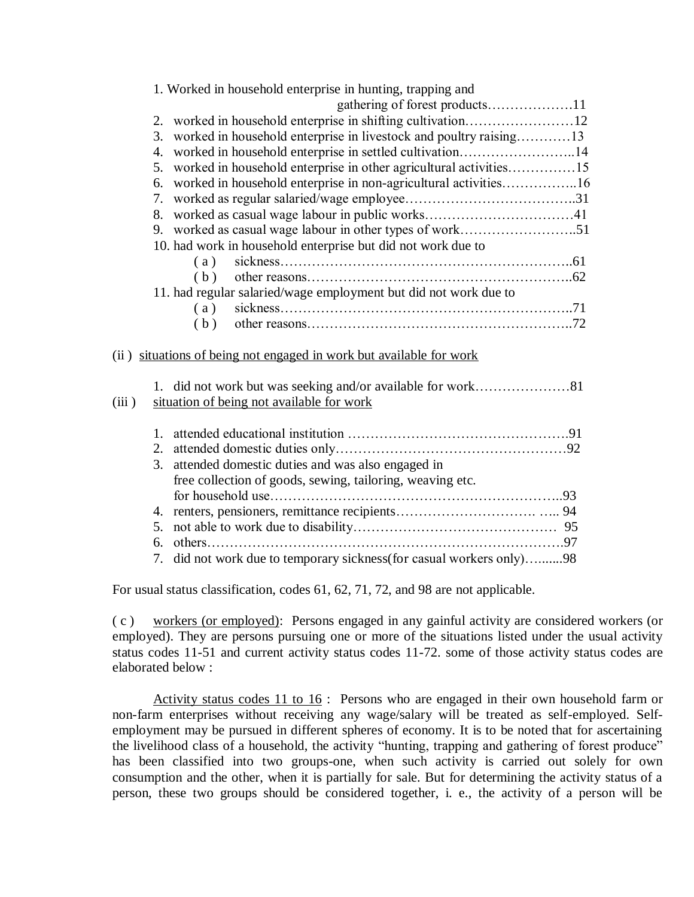|       |          | 1. Worked in household enterprise in hunting, trapping and<br>gathering of forest products11 |  |
|-------|----------|----------------------------------------------------------------------------------------------|--|
|       | 2.       |                                                                                              |  |
|       | 3.       | worked in household enterprise in livestock and poultry raising13                            |  |
|       | 4.       | worked in household enterprise in settled cultivation14                                      |  |
|       |          |                                                                                              |  |
|       | 5.       | worked in household enterprise in other agricultural activities15                            |  |
|       | 6.       | worked in household enterprise in non-agricultural activities16                              |  |
|       | 7.<br>8. |                                                                                              |  |
|       |          |                                                                                              |  |
|       |          |                                                                                              |  |
|       |          | 10. had work in household enterprise but did not work due to                                 |  |
|       |          | (a)                                                                                          |  |
|       |          | (b)                                                                                          |  |
|       |          | 11. had regular salaried/wage employment but did not work due to                             |  |
|       |          | (a)                                                                                          |  |
|       |          | (b)                                                                                          |  |
|       |          | (ii) situations of being not engaged in work but available for work                          |  |
| (iii) |          | situation of being not available for work                                                    |  |
|       | 1.       |                                                                                              |  |
|       | 2.       |                                                                                              |  |
|       | 3.       | attended domestic duties and was also engaged in                                             |  |
|       |          | free collection of goods, sewing, tailoring, weaving etc.                                    |  |
|       |          |                                                                                              |  |
|       |          |                                                                                              |  |
|       | 5.       |                                                                                              |  |
|       | 6.       |                                                                                              |  |
|       | 7.       | did not work due to temporary sickness(for casual workers only)98                            |  |
|       |          |                                                                                              |  |

For usual status classification, codes 61, 62, 71, 72, and 98 are not applicable.

( c ) workers (or employed): Persons engaged in any gainful activity are considered workers (or employed). They are persons pursuing one or more of the situations listed under the usual activity status codes 11-51 and current activity status codes 11-72. some of those activity status codes are elaborated below :

Activity status codes 11 to 16 : Persons who are engaged in their own household farm or non-farm enterprises without receiving any wage/salary will be treated as self-employed. Selfemployment may be pursued in different spheres of economy. It is to be noted that for ascertaining the livelihood class of a household, the activity "hunting, trapping and gathering of forest produce" has been classified into two groups-one, when such activity is carried out solely for own consumption and the other, when it is partially for sale. But for determining the activity status of a person, these two groups should be considered together, i. e., the activity of a person will be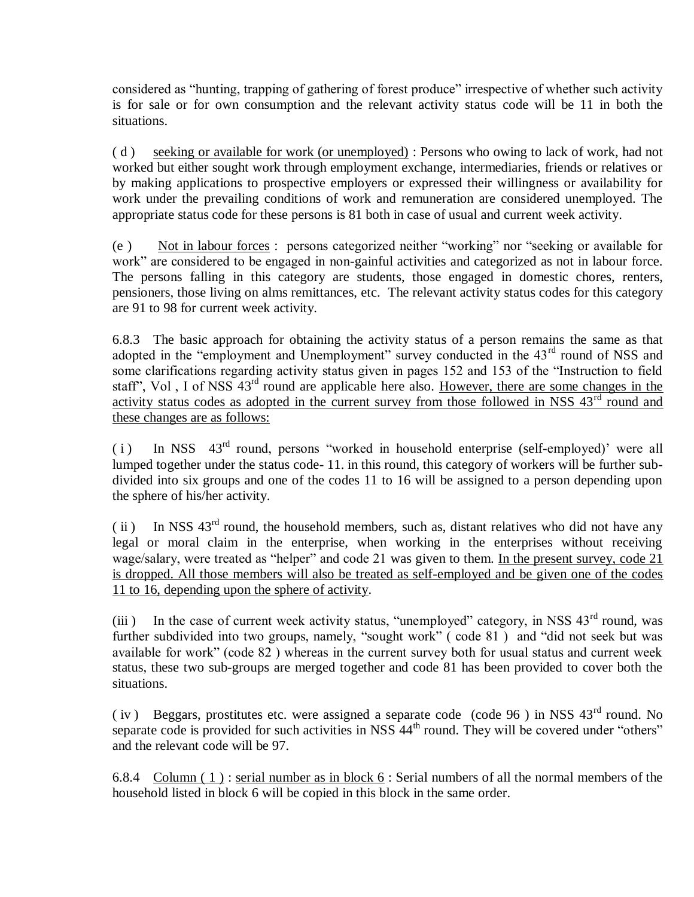considered as "hunting, trapping of gathering of forest produce" irrespective of whether such activity is for sale or for own consumption and the relevant activity status code will be 11 in both the situations.

( d ) seeking or available for work (or unemployed) : Persons who owing to lack of work, had not worked but either sought work through employment exchange, intermediaries, friends or relatives or by making applications to prospective employers or expressed their willingness or availability for work under the prevailing conditions of work and remuneration are considered unemployed. The appropriate status code for these persons is 81 both in case of usual and current week activity.

(e ) Not in labour forces : persons categorized neither "working" nor "seeking or available for work" are considered to be engaged in non-gainful activities and categorized as not in labour force. The persons falling in this category are students, those engaged in domestic chores, renters, pensioners, those living on alms remittances, etc. The relevant activity status codes for this category are 91 to 98 for current week activity.

6.8.3 The basic approach for obtaining the activity status of a person remains the same as that adopted in the "employment and Unemployment" survey conducted in the 43<sup>rd</sup> round of NSS and some clarifications regarding activity status given in pages 152 and 153 of the "Instruction to field staff", Vol, I of NSS 43<sup>rd</sup> round are applicable here also. However, there are some changes in the activity status codes as adopted in the current survey from those followed in NSS 43<sup>rd</sup> round and these changes are as follows:

( $i$ ) In NSS  $43<sup>rd</sup>$  round, persons "worked in household enterprise (self-employed)" were all lumped together under the status code- 11. in this round, this category of workers will be further subdivided into six groups and one of the codes 11 to 16 will be assigned to a person depending upon the sphere of his/her activity.

(ii) In NSS  $43<sup>rd</sup>$  round, the household members, such as, distant relatives who did not have any legal or moral claim in the enterprise, when working in the enterprises without receiving wage/salary, were treated as "helper" and code 21 was given to them. In the present survey, code 21 is dropped. All those members will also be treated as self-employed and be given one of the codes 11 to 16, depending upon the sphere of activity.

(iii) In the case of current week activity status, "unemployed" category, in NSS  $43<sup>rd</sup>$  round, was further subdivided into two groups, namely, "sought work" (code 81) and "did not seek but was available for work" (code 82 ) whereas in the current survey both for usual status and current week status, these two sub-groups are merged together and code 81 has been provided to cover both the situations.

( iv ) Beggars, prostitutes etc. were assigned a separate code (code 96 ) in NSS 43rd round. No separate code is provided for such activities in NSS  $44<sup>th</sup>$  round. They will be covered under "others" and the relevant code will be 97.

6.8.4 Column (1): serial number as in block  $6$ : Serial numbers of all the normal members of the household listed in block 6 will be copied in this block in the same order.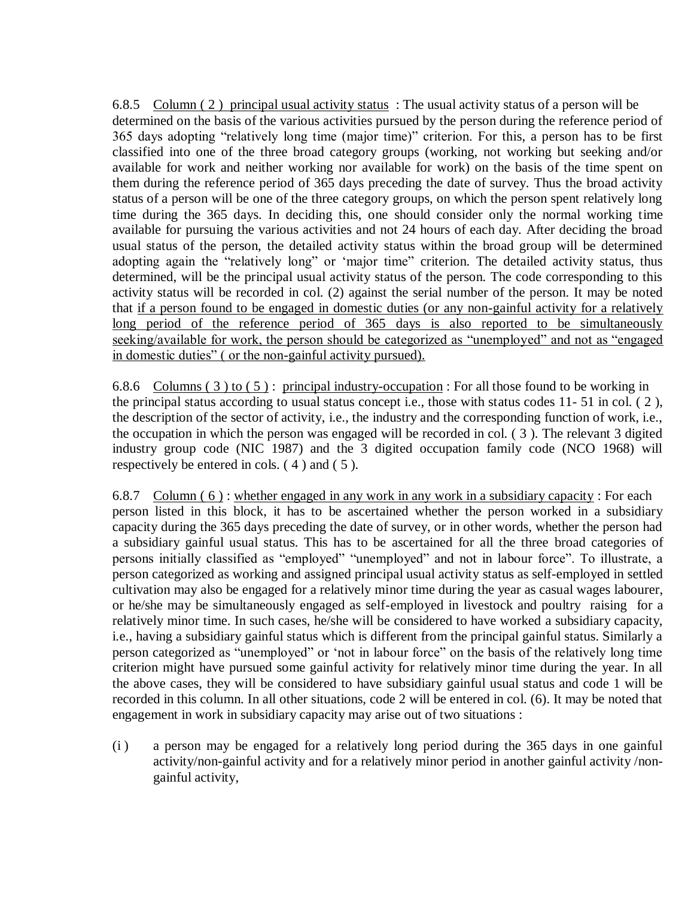6.8.5 Column ( 2 ) principal usual activity status : The usual activity status of a person will be determined on the basis of the various activities pursued by the person during the reference period of 365 days adopting "relatively long time (major time)" criterion. For this, a person has to be first classified into one of the three broad category groups (working, not working but seeking and/or available for work and neither working nor available for work) on the basis of the time spent on them during the reference period of 365 days preceding the date of survey. Thus the broad activity status of a person will be one of the three category groups, on which the person spent relatively long time during the 365 days. In deciding this, one should consider only the normal working time available for pursuing the various activities and not 24 hours of each day. After deciding the broad usual status of the person, the detailed activity status within the broad group will be determined adopting again the "relatively long" or "major time" criterion. The detailed activity status, thus determined, will be the principal usual activity status of the person. The code corresponding to this activity status will be recorded in col. (2) against the serial number of the person. It may be noted that if a person found to be engaged in domestic duties (or any non-gainful activity for a relatively long period of the reference period of 365 days is also reported to be simultaneously seeking/available for work, the person should be categorized as "unemployed" and not as "engaged in domestic duties" ( or the non-gainful activity pursued).

6.8.6 Columns (3) to (5): principal industry-occupation : For all those found to be working in the principal status according to usual status concept i.e., those with status codes 11- 51 in col. ( 2 ), the description of the sector of activity, i.e., the industry and the corresponding function of work, i.e., the occupation in which the person was engaged will be recorded in col. ( 3 ). The relevant 3 digited industry group code (NIC 1987) and the 3 digited occupation family code (NCO 1968) will respectively be entered in cols. ( 4 ) and ( 5 ).

6.8.7 Column  $(6)$ : whether engaged in any work in any work in a subsidiary capacity : For each person listed in this block, it has to be ascertained whether the person worked in a subsidiary capacity during the 365 days preceding the date of survey, or in other words, whether the person had a subsidiary gainful usual status. This has to be ascertained for all the three broad categories of persons initially classified as "employed" "unemployed" and not in labour force". To illustrate, a person categorized as working and assigned principal usual activity status as self-employed in settled cultivation may also be engaged for a relatively minor time during the year as casual wages labourer, or he/she may be simultaneously engaged as self-employed in livestock and poultry raising for a relatively minor time. In such cases, he/she will be considered to have worked a subsidiary capacity, i.e., having a subsidiary gainful status which is different from the principal gainful status. Similarly a person categorized as "unemployed" or "not in labour force" on the basis of the relatively long time criterion might have pursued some gainful activity for relatively minor time during the year. In all the above cases, they will be considered to have subsidiary gainful usual status and code 1 will be recorded in this column. In all other situations, code 2 will be entered in col. (6). It may be noted that engagement in work in subsidiary capacity may arise out of two situations :

(i ) a person may be engaged for a relatively long period during the 365 days in one gainful activity/non-gainful activity and for a relatively minor period in another gainful activity /nongainful activity,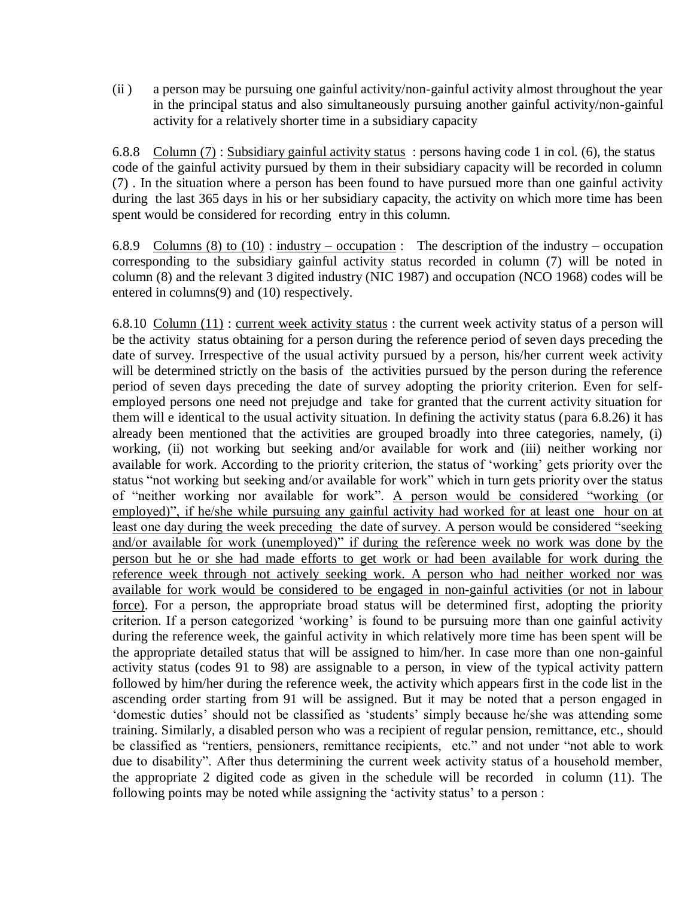(ii ) a person may be pursuing one gainful activity/non-gainful activity almost throughout the year in the principal status and also simultaneously pursuing another gainful activity/non-gainful activity for a relatively shorter time in a subsidiary capacity

6.8.8 Column (7) : Subsidiary gainful activity status : persons having code 1 in col. (6), the status code of the gainful activity pursued by them in their subsidiary capacity will be recorded in column (7) . In the situation where a person has been found to have pursued more than one gainful activity during the last 365 days in his or her subsidiary capacity, the activity on which more time has been spent would be considered for recording entry in this column.

6.8.9 Columns (8) to (10) : industry – occupation : The description of the industry – occupation corresponding to the subsidiary gainful activity status recorded in column (7) will be noted in column (8) and the relevant 3 digited industry (NIC 1987) and occupation (NCO 1968) codes will be entered in columns(9) and (10) respectively.

6.8.10 Column (11) : current week activity status : the current week activity status of a person will be the activity status obtaining for a person during the reference period of seven days preceding the date of survey. Irrespective of the usual activity pursued by a person, his/her current week activity will be determined strictly on the basis of the activities pursued by the person during the reference period of seven days preceding the date of survey adopting the priority criterion. Even for selfemployed persons one need not prejudge and take for granted that the current activity situation for them will e identical to the usual activity situation. In defining the activity status (para 6.8.26) it has already been mentioned that the activities are grouped broadly into three categories, namely, (i) working, (ii) not working but seeking and/or available for work and (iii) neither working nor available for work. According to the priority criterion, the status of 'working' gets priority over the status "not working but seeking and/or available for work" which in turn gets priority over the status of "neither working nor available for work". A person would be considered "working (or employed)", if he/she while pursuing any gainful activity had worked for at least one hour on at least one day during the week preceding the date of survey. A person would be considered "seeking and/or available for work (unemployed)" if during the reference week no work was done by the person but he or she had made efforts to get work or had been available for work during the reference week through not actively seeking work. A person who had neither worked nor was available for work would be considered to be engaged in non-gainful activities (or not in labour force). For a person, the appropriate broad status will be determined first, adopting the priority criterion. If a person categorized 'working' is found to be pursuing more than one gainful activity during the reference week, the gainful activity in which relatively more time has been spent will be the appropriate detailed status that will be assigned to him/her. In case more than one non-gainful activity status (codes 91 to 98) are assignable to a person, in view of the typical activity pattern followed by him/her during the reference week, the activity which appears first in the code list in the ascending order starting from 91 will be assigned. But it may be noted that a person engaged in 'domestic duties' should not be classified as 'students' simply because he/she was attending some training. Similarly, a disabled person who was a recipient of regular pension, remittance, etc., should be classified as "rentiers, pensioners, remittance recipients, etc." and not under "not able to work due to disability". After thus determining the current week activity status of a household member, the appropriate 2 digited code as given in the schedule will be recorded in column (11). The following points may be noted while assigning the 'activity status' to a person :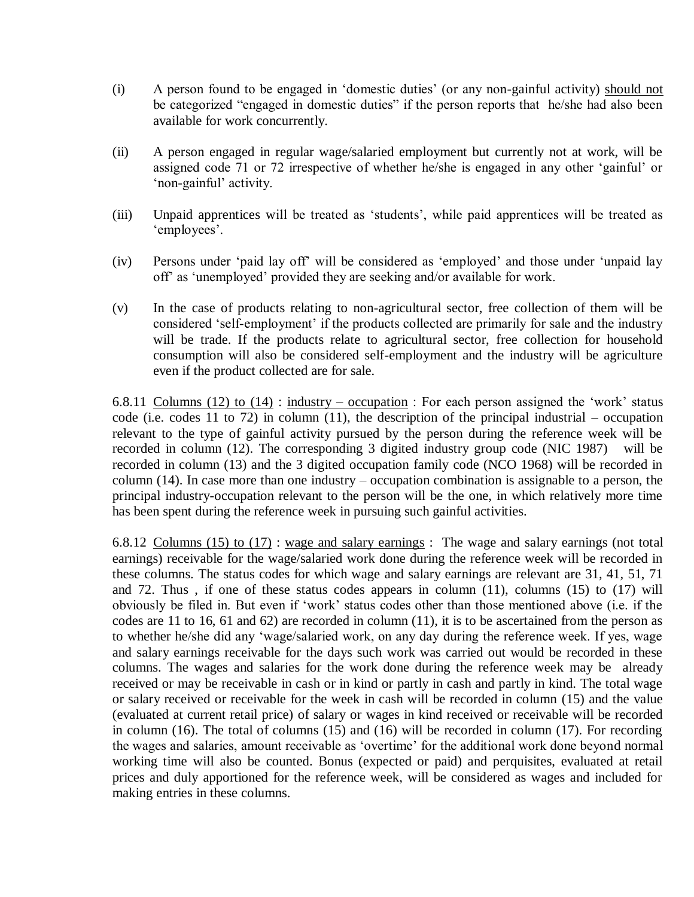- (i) A person found to be engaged in "domestic duties" (or any non-gainful activity) should not be categorized "engaged in domestic duties" if the person reports that he/she had also been available for work concurrently.
- (ii) A person engaged in regular wage/salaried employment but currently not at work, will be assigned code 71 or 72 irrespective of whether he/she is engaged in any other "gainful" or 'non-gainful' activity.
- (iii) Unpaid apprentices will be treated as "students", while paid apprentices will be treated as 'employees'.
- (iv) Persons under "paid lay off" will be considered as "employed" and those under "unpaid lay off" as "unemployed" provided they are seeking and/or available for work.
- (v) In the case of products relating to non-agricultural sector, free collection of them will be considered 'self-employment' if the products collected are primarily for sale and the industry will be trade. If the products relate to agricultural sector, free collection for household consumption will also be considered self-employment and the industry will be agriculture even if the product collected are for sale.

6.8.11 Columns (12) to (14) : industry – occupation : For each person assigned the 'work' status code (i.e. codes 11 to 72) in column (11), the description of the principal industrial – occupation relevant to the type of gainful activity pursued by the person during the reference week will be recorded in column (12). The corresponding 3 digited industry group code (NIC 1987) will be recorded in column (13) and the 3 digited occupation family code (NCO 1968) will be recorded in column (14). In case more than one industry – occupation combination is assignable to a person, the principal industry-occupation relevant to the person will be the one, in which relatively more time has been spent during the reference week in pursuing such gainful activities.

6.8.12 Columns (15) to (17) : wage and salary earnings : The wage and salary earnings (not total earnings) receivable for the wage/salaried work done during the reference week will be recorded in these columns. The status codes for which wage and salary earnings are relevant are 31, 41, 51, 71 and 72. Thus, if one of these status codes appears in column  $(11)$ , columns  $(15)$  to  $(17)$  will obviously be filed in. But even if "work" status codes other than those mentioned above (i.e. if the codes are 11 to 16, 61 and 62) are recorded in column (11), it is to be ascertained from the person as to whether he/she did any "wage/salaried work, on any day during the reference week. If yes, wage and salary earnings receivable for the days such work was carried out would be recorded in these columns. The wages and salaries for the work done during the reference week may be already received or may be receivable in cash or in kind or partly in cash and partly in kind. The total wage or salary received or receivable for the week in cash will be recorded in column (15) and the value (evaluated at current retail price) of salary or wages in kind received or receivable will be recorded in column (16). The total of columns (15) and (16) will be recorded in column (17). For recording the wages and salaries, amount receivable as "overtime" for the additional work done beyond normal working time will also be counted. Bonus (expected or paid) and perquisites, evaluated at retail prices and duly apportioned for the reference week, will be considered as wages and included for making entries in these columns.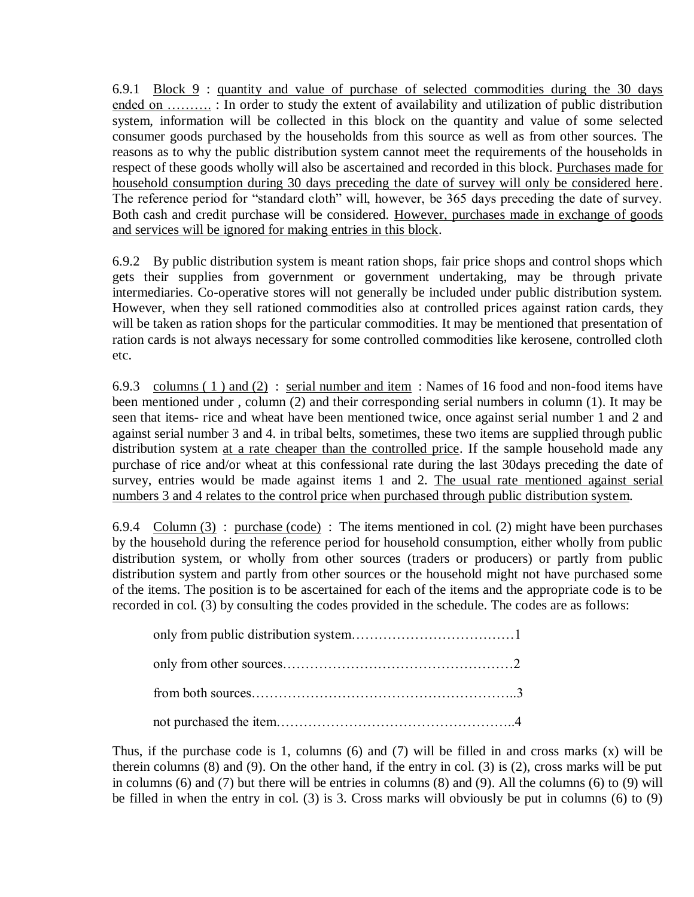6.9.1 Block 9 : quantity and value of purchase of selected commodities during the 30 days ended on ………. : In order to study the extent of availability and utilization of public distribution system, information will be collected in this block on the quantity and value of some selected consumer goods purchased by the households from this source as well as from other sources. The reasons as to why the public distribution system cannot meet the requirements of the households in respect of these goods wholly will also be ascertained and recorded in this block. Purchases made for household consumption during 30 days preceding the date of survey will only be considered here. The reference period for "standard cloth" will, however, be 365 days preceding the date of survey. Both cash and credit purchase will be considered. However, purchases made in exchange of goods and services will be ignored for making entries in this block.

6.9.2 By public distribution system is meant ration shops, fair price shops and control shops which gets their supplies from government or government undertaking, may be through private intermediaries. Co-operative stores will not generally be included under public distribution system. However, when they sell rationed commodities also at controlled prices against ration cards, they will be taken as ration shops for the particular commodities. It may be mentioned that presentation of ration cards is not always necessary for some controlled commodities like kerosene, controlled cloth etc.

6.9.3 columns ( 1 ) and (2) : serial number and item : Names of 16 food and non-food items have been mentioned under , column (2) and their corresponding serial numbers in column (1). It may be seen that items- rice and wheat have been mentioned twice, once against serial number 1 and 2 and against serial number 3 and 4. in tribal belts, sometimes, these two items are supplied through public distribution system at a rate cheaper than the controlled price. If the sample household made any purchase of rice and/or wheat at this confessional rate during the last 30days preceding the date of survey, entries would be made against items 1 and 2. The usual rate mentioned against serial numbers 3 and 4 relates to the control price when purchased through public distribution system.

6.9.4 Column  $(3)$ : purchase (code): The items mentioned in col. (2) might have been purchases by the household during the reference period for household consumption, either wholly from public distribution system, or wholly from other sources (traders or producers) or partly from public distribution system and partly from other sources or the household might not have purchased some of the items. The position is to be ascertained for each of the items and the appropriate code is to be recorded in col. (3) by consulting the codes provided in the schedule. The codes are as follows:

Thus, if the purchase code is 1, columns (6) and (7) will be filled in and cross marks (x) will be therein columns (8) and (9). On the other hand, if the entry in col. (3) is (2), cross marks will be put in columns (6) and (7) but there will be entries in columns (8) and (9). All the columns (6) to (9) will be filled in when the entry in col. (3) is 3. Cross marks will obviously be put in columns (6) to (9)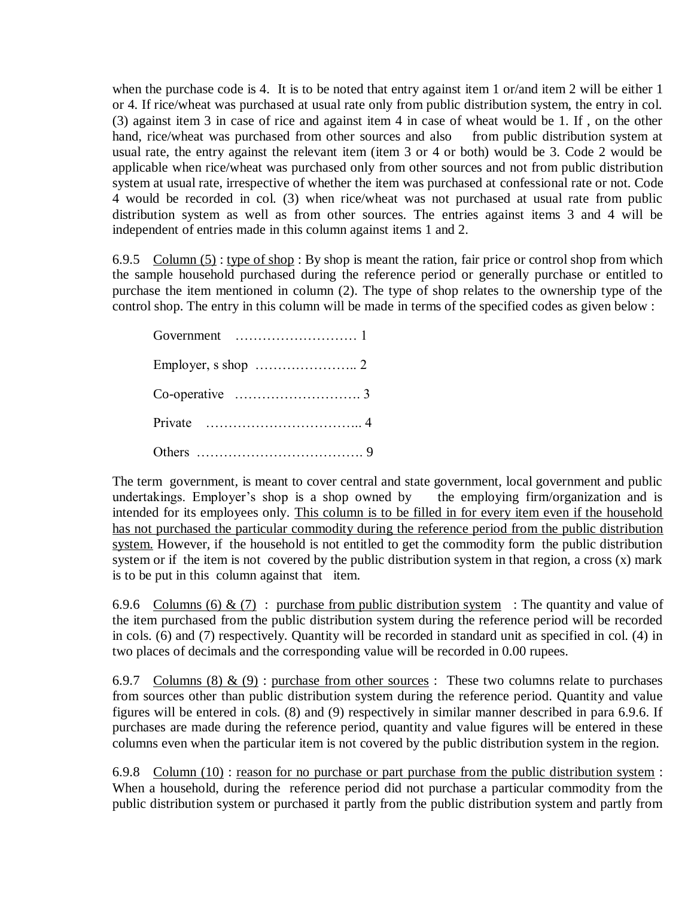when the purchase code is 4. It is to be noted that entry against item 1 or/and item 2 will be either 1 or 4. If rice/wheat was purchased at usual rate only from public distribution system, the entry in col. (3) against item 3 in case of rice and against item 4 in case of wheat would be 1. If, on the other hand, rice/wheat was purchased from other sources and also from public distribution system at hand, rice/wheat was purchased from other sources and also usual rate, the entry against the relevant item (item 3 or 4 or both) would be 3. Code 2 would be applicable when rice/wheat was purchased only from other sources and not from public distribution system at usual rate, irrespective of whether the item was purchased at confessional rate or not. Code 4 would be recorded in col. (3) when rice/wheat was not purchased at usual rate from public distribution system as well as from other sources. The entries against items 3 and 4 will be independent of entries made in this column against items 1 and 2.

6.9.5 Column  $(5)$ : type of shop: By shop is meant the ration, fair price or control shop from which the sample household purchased during the reference period or generally purchase or entitled to purchase the item mentioned in column (2). The type of shop relates to the ownership type of the control shop. The entry in this column will be made in terms of the specified codes as given below :

The term government, is meant to cover central and state government, local government and public undertakings. Employer's shop is a shop owned by the employing firm/organization and is intended for its employees only. This column is to be filled in for every item even if the household has not purchased the particular commodity during the reference period from the public distribution system. However, if the household is not entitled to get the commodity form the public distribution system or if the item is not covered by the public distribution system in that region, a cross  $(x)$  mark is to be put in this column against that item.

6.9.6 Columns (6) & (7) : purchase from public distribution system : The quantity and value of the item purchased from the public distribution system during the reference period will be recorded in cols. (6) and (7) respectively. Quantity will be recorded in standard unit as specified in col. (4) in two places of decimals and the corresponding value will be recorded in 0.00 rupees.

6.9.7 Columns (8) & (9) : purchase from other sources : These two columns relate to purchases from sources other than public distribution system during the reference period. Quantity and value figures will be entered in cols. (8) and (9) respectively in similar manner described in para 6.9.6. If purchases are made during the reference period, quantity and value figures will be entered in these columns even when the particular item is not covered by the public distribution system in the region.

6.9.8 Column (10) : reason for no purchase or part purchase from the public distribution system : When a household, during the reference period did not purchase a particular commodity from the public distribution system or purchased it partly from the public distribution system and partly from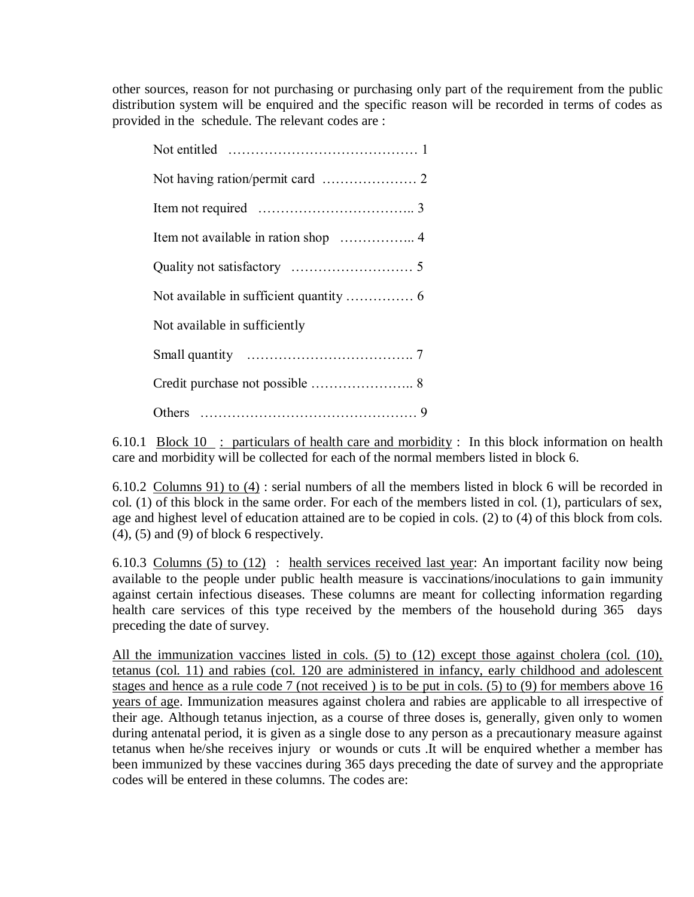other sources, reason for not purchasing or purchasing only part of the requirement from the public distribution system will be enquired and the specific reason will be recorded in terms of codes as provided in the schedule. The relevant codes are :

| Not available in sufficiently |  |
|-------------------------------|--|
|                               |  |
|                               |  |
|                               |  |

6.10.1 Block  $10$ : particulars of health care and morbidity : In this block information on health care and morbidity will be collected for each of the normal members listed in block 6.

6.10.2 Columns 91) to (4) : serial numbers of all the members listed in block 6 will be recorded in col. (1) of this block in the same order. For each of the members listed in col. (1), particulars of sex, age and highest level of education attained are to be copied in cols. (2) to (4) of this block from cols.  $(4)$ ,  $(5)$  and  $(9)$  of block 6 respectively.

6.10.3 Columns (5) to (12) : health services received last year: An important facility now being available to the people under public health measure is vaccinations/inoculations to gain immunity avantage to the people meant produced in the columns are meant for collecting information regarding health care services of this type received by the members of the household during 365 days preceding the date of survey.

All the immunization vaccines listed in cols. (5) to (12) except those against cholera (col. (10), tetanus (col. 11) and rabies (col. 120 are administered in infancy, early childhood and adolescent stages and hence as a rule code 7 (not received ) is to be put in cols. (5) to (9) for members above 16 years of age. Immunization measures against cholera and rabies are applicable to all irrespective of their age. Although tetanus injection, as a course of three doses is, generally, given only to women during antenatal period, it is given as a single dose to any person as a precautionary measure against tetanus when he/she receives injury or wounds or cuts .It will be enquired whether a member has been immunized by these vaccines during 365 days preceding the date of survey and the appropriate codes will be entered in these columns. The codes are: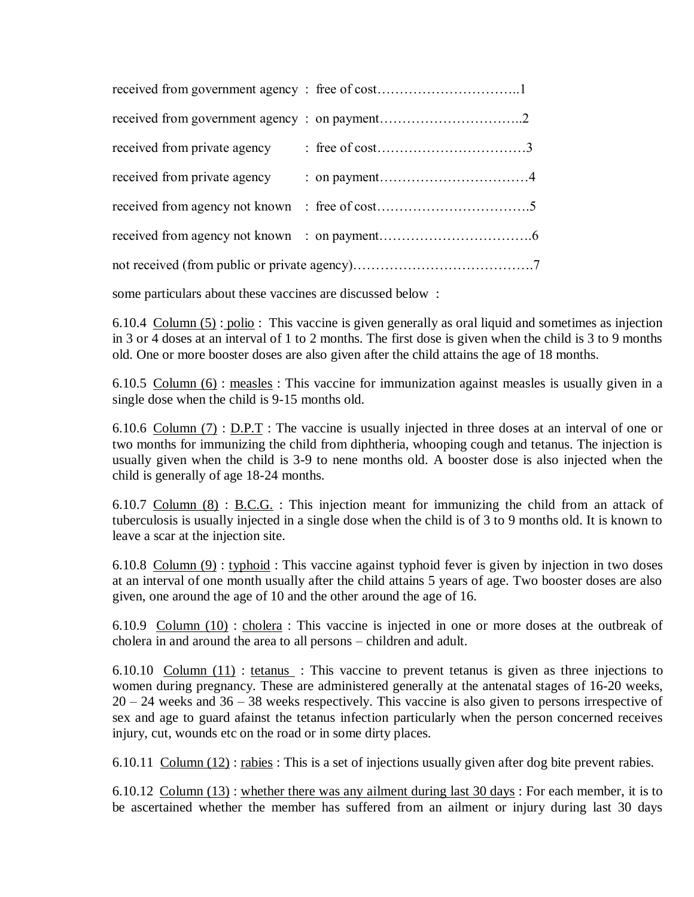| received from private agency |  |  |
|------------------------------|--|--|
|                              |  |  |
|                              |  |  |
|                              |  |  |

some particulars about these vaccines are discussed below :

6.10.4 Column (5) : polio : This vaccine is given generally as oral liquid and sometimes as injection in 3 or 4 doses at an interval of 1 to 2 months. The first dose is given when the child is 3 to 9 months old. One or more booster doses are also given after the child attains the age of 18 months.

6.10.5 Column (6) : measles : This vaccine for immunization against measles is usually given in a single dose when the child is 9-15 months old.

6.10.6 Column (7) : D.P.T : The vaccine is usually injected in three doses at an interval of one or two months for immunizing the child from diphtheria, whooping cough and tetanus. The injection is usually given when the child is 3-9 to nene months old. A booster dose is also injected when the child is generally of age 18-24 months.

6.10.7 Column  $(8)$ : B.C.G.: This injection meant for immunizing the child from an attack of tuberculosis is usually injected in a single dose when the child is of 3 to 9 months old. It is known to leave a scar at the injection site.

6.10.8 Column (9) : typhoid : This vaccine against typhoid fever is given by injection in two doses at an interval of one month usually after the child attains 5 years of age. Two booster doses are also given, one around the age of 10 and the other around the age of 16.

6.10.9 Column (10) : cholera : This vaccine is injected in one or more doses at the outbreak of cholera in and around the area to all persons – children and adult.

6.10.10 Column (11) : tetanus : This vaccine to prevent tetanus is given as three injections to women during pregnancy. These are administered generally at the antenatal stages of 16-20 weeks, 20 – 24 weeks and 36 – 38 weeks respectively. This vaccine is also given to persons irrespective of sex and age to guard afainst the tetanus infection particularly when the person concerned receives injury, cut, wounds etc on the road or in some dirty places.

6.10.11 Column (12) : rabies : This is a set of injections usually given after dog bite prevent rabies.

6.10.12 Column (13) : whether there was any ailment during last 30 days : For each member, it is to be ascertained whether the member has suffered from an ailment or injury during last 30 days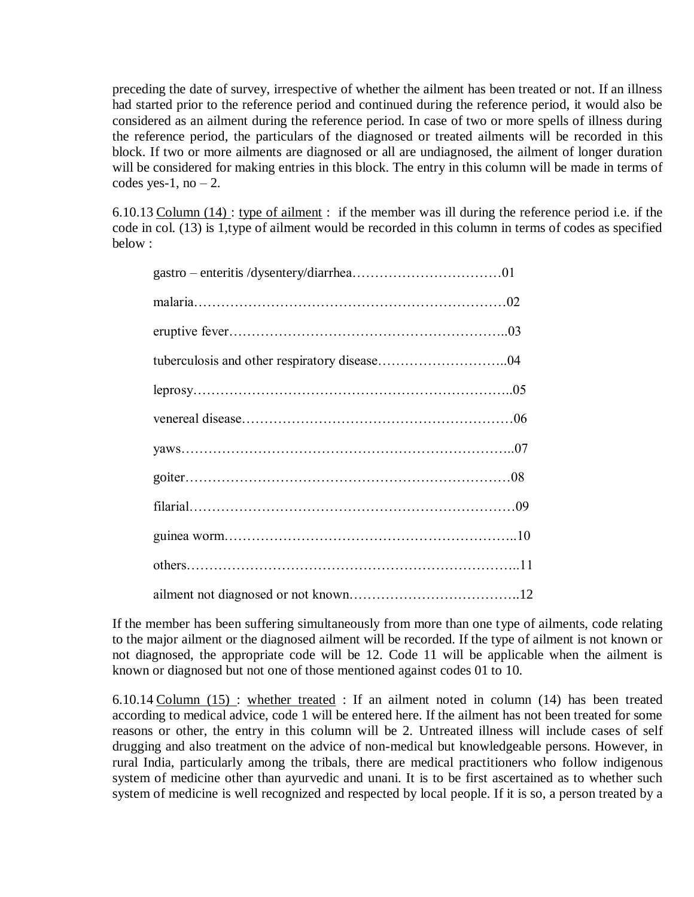preceding the date of survey, irrespective of whether the ailment has been treated or not. If an illness had started prior to the reference period and continued during the reference period, it would also be considered as an ailment during the reference period. In case of two or more spells of illness during the reference period, the particulars of the diagnosed or treated ailments will be recorded in this block. If two or more ailments are diagnosed or all are undiagnosed, the ailment of longer duration will be considered for making entries in this block. The entry in this column will be made in terms of codes yes-1, no  $-2$ .

6.10.13 Column (14) : type of ailment : if the member was ill during the reference period i.e. if the code in col. (13) is 1,type of ailment would be recorded in this column in terms of codes as specified below :

If the member has been suffering simultaneously from more than one type of ailments, code relating to the major ailment or the diagnosed ailment will be recorded. If the type of ailment is not known or not diagnosed, the appropriate code will be 12. Code 11 will be applicable when the ailment is known or diagnosed but not one of those mentioned against codes 01 to 10.

6.10.14 Column (15) : whether treated : If an ailment noted in column (14) has been treated according to medical advice, code 1 will be entered here. If the ailment has not been treated for some reasons or other, the entry in this column will be 2. Untreated illness will include cases of self drugging and also treatment on the advice of non-medical but knowledgeable persons. However, in rural India, particularly among the tribals, there are medical practitioners who follow indigenous system of medicine other than ayurvedic and unani. It is to be first ascertained as to whether such system of medicine is well recognized and respected by local people. If it is so, a person treated by a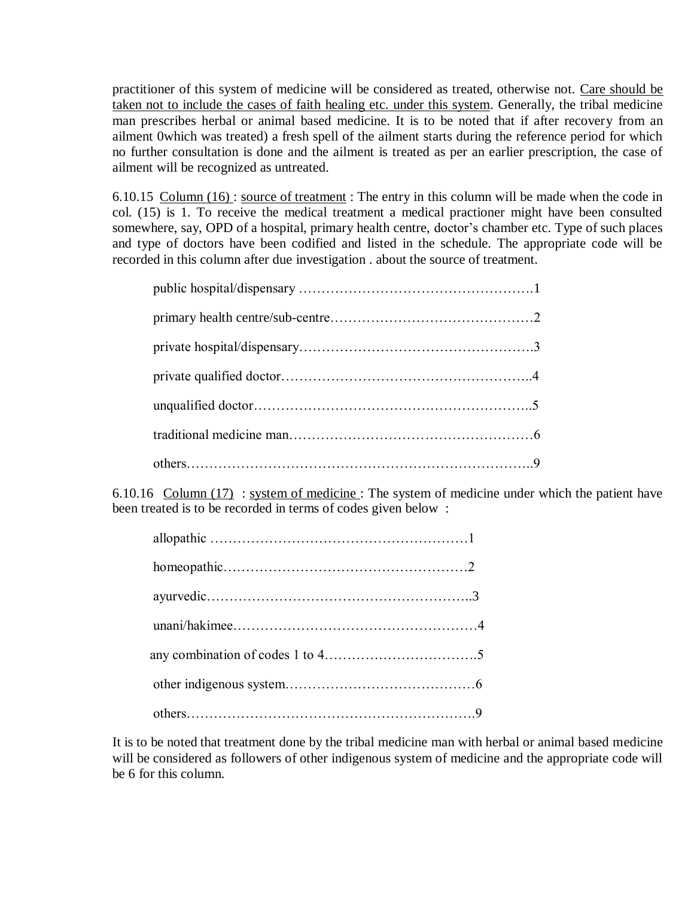practitioner of this system of medicine will be considered as treated, otherwise not. Care should be taken not to include the cases of faith healing etc. under this system. Generally, the tribal medicine man prescribes herbal or animal based medicine. It is to be noted that if after recovery from an ailment 0which was treated) a fresh spell of the ailment starts during the reference period for which no further consultation is done and the ailment is treated as per an earlier prescription, the case of ailment will be recognized as untreated.

6.10.15 Column (16) : source of treatment : The entry in this column will be made when the code in col.  $(15)$  is 1. To receive the medical treatment a medical practioner might have been consulted somewhere, say, OPD of a hospital, primary health centre, doctor's chamber etc. Type of such places and type of doctors have been codified and listed in the schedule. The appropriate code will be recorded in this column after due investigation . about the source of treatment.

6.10.16 Column (17) : system of medicine : The system of medicine under which the patient have been treated is to be recorded in terms of codes given below :

It is to be noted that treatment done by the tribal medicine man with herbal or animal based medicine will be considered as followers of other indigenous system of medicine and the appropriate code will be 6 for this column.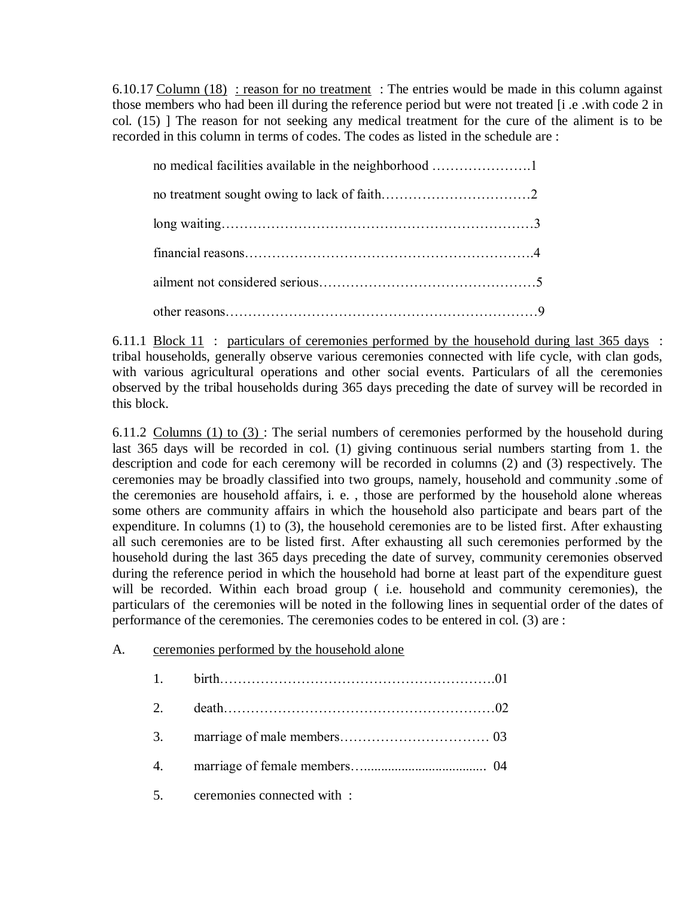6.10.17 Column (18) : reason for no treatment : The entries would be made in this column against those members who had been ill during the reference period but were not treated [i .e .with code 2 in col. (15) ] The reason for not seeking any medical treatment for the cure of the aliment is to be recorded in this column in terms of codes. The codes as listed in the schedule are :

6.11.1 Block 11 : particulars of ceremonies performed by the household during last 365 days : tribal households, generally observe various ceremonies connected with life cycle, with clan gods, with various agricultural operations and other social events. Particulars of all the ceremonies observed by the tribal households during 365 days preceding the date of survey will be recorded in this block.

6.11.2 Columns (1) to  $(3)$ : The serial numbers of ceremonies performed by the household during last 365 days will be recorded in col. (1) giving continuous serial numbers starting from 1. the description and code for each ceremony will be recorded in columns (2) and (3) respectively. The ceremonies may be broadly classified into two groups, namely, household and community .some of the ceremonies are household affairs, i. e. , those are performed by the household alone whereas some others are community affairs in which the household also participate and bears part of the expenditure. In columns (1) to (3), the household ceremonies are to be listed first. After exhausting all such ceremonies are to be listed first. After exhausting all such ceremonies performed by the household during the last 365 days preceding the date of survey, community ceremonies observed during the reference period in which the household had borne at least part of the expenditure guest will be recorded. Within each broad group ( i.e. household and community ceremonies), the particulars of the ceremonies will be noted in the following lines in sequential order of the dates of performance of the ceremonies. The ceremonies codes to be entered in col. (3) are :

# A. ceremonies performed by the household alone

| 2. |                                |  |
|----|--------------------------------|--|
|    |                                |  |
|    |                                |  |
|    | 5. ceremonies connected with : |  |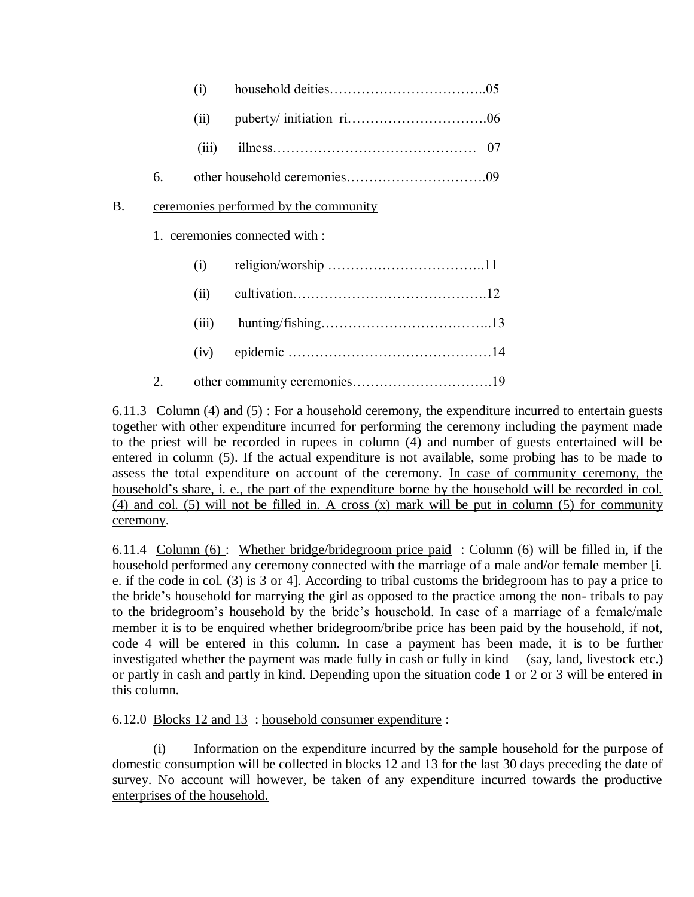|           |    | (i)   |                                       |
|-----------|----|-------|---------------------------------------|
|           |    | (ii)  |                                       |
|           |    | (iii) |                                       |
|           | 6. |       |                                       |
| <b>B.</b> |    |       | ceremonies performed by the community |
|           |    |       | 1. ceremonies connected with :        |
|           |    | (i)   |                                       |
|           |    | (ii)  |                                       |
|           |    | (iii) |                                       |
|           |    | (iv)  |                                       |
|           | 2. |       |                                       |

6.11.3 Column (4) and (5) : For a household ceremony, the expenditure incurred to entertain guests together with other expenditure incurred for performing the ceremony including the payment made to the priest will be recorded in rupees in column (4) and number of guests entertained will be entered in column (5). If the actual expenditure is not available, some probing has to be made to assess the total expenditure on account of the ceremony. In case of community ceremony, the household"s share, i. e., the part of the expenditure borne by the household will be recorded in col. (4) and col. (5) will not be filled in. A cross (x) mark will be put in column (5) for community ceremony.

6.11.4 Column (6) : Whether bridge/bridegroom price paid : Column (6) will be filled in, if the household performed any ceremony connected with the marriage of a male and/or female member [i. e. if the code in col. (3) is 3 or 4]. According to tribal customs the bridegroom has to pay a price to the bride"s household for marrying the girl as opposed to the practice among the non- tribals to pay to the bridegroom"s household by the bride"s household. In case of a marriage of a female/male member it is to be enquired whether bridegroom/bribe price has been paid by the household, if not, code 4 will be entered in this column. In case a payment has been made, it is to be further investigated whether the payment was made fully in cash or fully in kind (say, land, livestock etc.) or partly in cash and partly in kind. Depending upon the situation code 1 or 2 or 3 will be entered in this column.

6.12.0 Blocks 12 and 13 : household consumer expenditure :

(i) Information on the expenditure incurred by the sample household for the purpose of domestic consumption will be collected in blocks 12 and 13 for the last 30 days preceding the date of survey. No account will however, be taken of any expenditure incurred towards the productive enterprises of the household.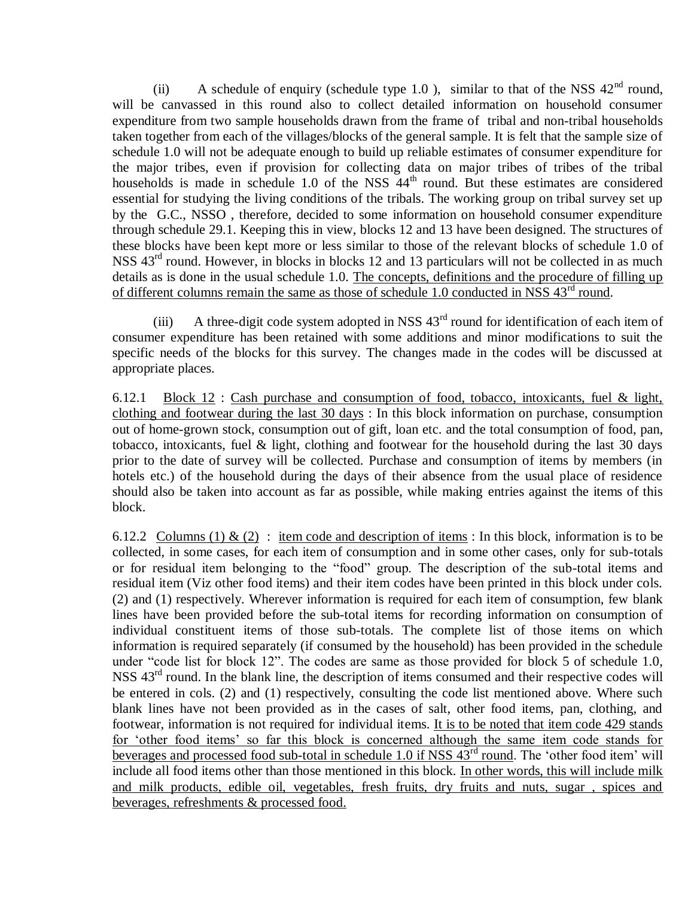(ii) A schedule of enquiry (schedule type 1.0), similar to that of the NSS  $42<sup>nd</sup>$  round, will be canvassed in this round also to collect detailed information on household consumer expenditure from two sample households drawn from the frame of tribal and non-tribal households taken together from each of the villages/blocks of the general sample. It is felt that the sample size of schedule 1.0 will not be adequate enough to build up reliable estimates of consumer expenditure for the major tribes, even if provision for collecting data on major tribes of tribes of the tribal households is made in schedule 1.0 of the NSS  $44<sup>th</sup>$  round. But these estimates are considered essential for studying the living conditions of the tribals. The working group on tribal survey set up by the G.C., NSSO , therefore, decided to some information on household consumer expenditure through schedule 29.1. Keeping this in view, blocks 12 and 13 have been designed. The structures of these blocks have been kept more or less similar to those of the relevant blocks of schedule 1.0 of NSS  $43<sup>rd</sup>$  round. However, in blocks in blocks 12 and 13 particulars will not be collected in as much details as is done in the usual schedule 1.0. The concepts, definitions and the procedure of filling up of different columns remain the same as those of schedule 1.0 conducted in NSS 43<sup>rd</sup> round.

(iii) A three-digit code system adopted in NSS  $43<sup>rd</sup>$  round for identification of each item of consumer expenditure has been retained with some additions and minor modifications to suit the specific needs of the blocks for this survey. The changes made in the codes will be discussed at appropriate places.

6.12.1 Block  $12:$  Cash purchase and consumption of food, tobacco, intoxicants, fuel & light, clothing and footwear during the last 30 days : In this block information on purchase, consumption out of home-grown stock, consumption out of gift, loan etc. and the total consumption of food, pan, tobacco, intoxicants, fuel & light, clothing and footwear for the household during the last 30 days prior to the date of survey will be collected. Purchase and consumption of items by members (in hotels etc.) of the household during the days of their absence from the usual place of residence should also be taken into account as far as possible, while making entries against the items of this block.

6.12.2 Columns (1) & (2) : item code and description of items : In this block, information is to be collected, in some cases, for each item of consumption and in some other cases, only for sub-totals or for residual item belonging to the "food" group. The description of the sub-total items and residual item (Viz other food items) and their item codes have been printed in this block under cols. (2) and (1) respectively. Wherever information is required for each item of consumption, few blank lines have been provided before the sub-total items for recording information on consumption of individual constituent items of those sub-totals. The complete list of those items on which information is required separately (if consumed by the household) has been provided in the schedule under "code list for block 12". The codes are same as those provided for block 5 of schedule 1.0, NSS  $43<sup>rd</sup>$  round. In the blank line, the description of items consumed and their respective codes will be entered in cols. (2) and (1) respectively, consulting the code list mentioned above. Where such blank lines have not been provided as in the cases of salt, other food items, pan, clothing, and footwear, information is not required for individual items. It is to be noted that item code 429 stands for "other food items" so far this block is concerned although the same item code stands for beverages and processed food sub-total in schedule 1.0 if NSS  $43^{rd}$  round. The 'other food item' will include all food items other than those mentioned in this block. In other words, this will include milk and milk products, edible oil, vegetables, fresh fruits, dry fruits and nuts, sugar , spices and beverages, refreshments & processed food.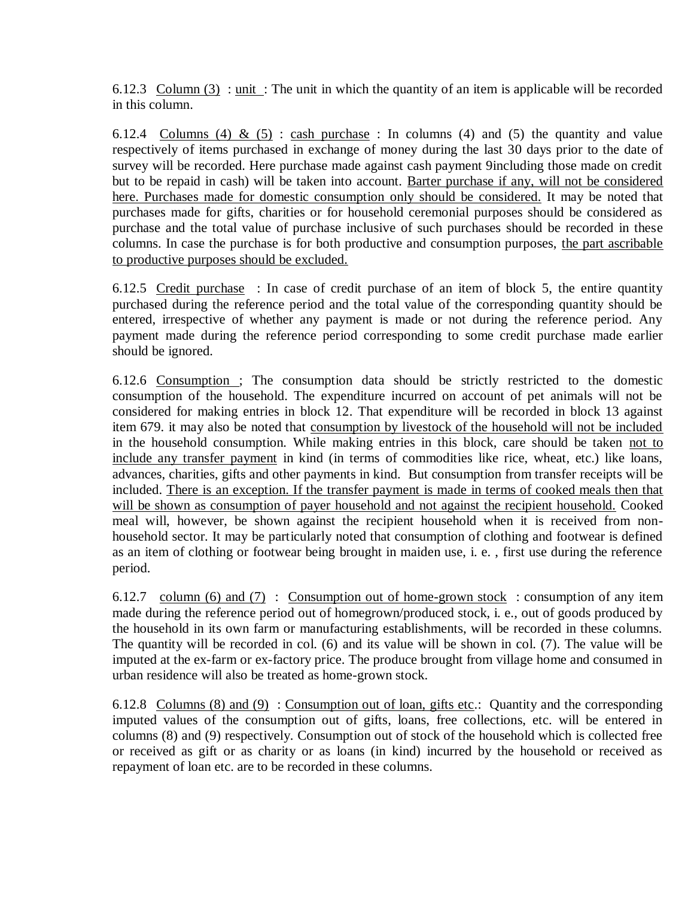6.12.3 Column (3) : unit : The unit in which the quantity of an item is applicable will be recorded in this column.

6.12.4 Columns (4) & (5): cash purchase: In columns (4) and (5) the quantity and value respectively of items purchased in exchange of money during the last 30 days prior to the date of survey will be recorded. Here purchase made against cash payment 9including those made on credit but to be repaid in cash) will be taken into account. Barter purchase if any, will not be considered here. Purchases made for domestic consumption only should be considered. It may be noted that purchases made for gifts, charities or for household ceremonial purposes should be considered as purchase and the total value of purchase inclusive of such purchases should be recorded in these columns. In case the purchase is for both productive and consumption purposes, the part ascribable to productive purposes should be excluded.

6.12.5 Credit purchase : In case of credit purchase of an item of block 5, the entire quantity purchased during the reference period and the total value of the corresponding quantity should be entered, irrespective of whether any payment is made or not during the reference period. Any payment made during the reference period corresponding to some credit purchase made earlier should be ignored.

6.12.6 Consumption ; The consumption data should be strictly restricted to the domestic consumption of the household. The expenditure incurred on account of pet animals will not be considered for making entries in block 12. That expenditure will be recorded in block 13 against item 679. it may also be noted that consumption by livestock of the household will not be included in the household consumption. While making entries in this block, care should be taken not to include any transfer payment in kind (in terms of commodities like rice, wheat, etc.) like loans, advances, charities, gifts and other payments in kind. But consumption from transfer receipts will be included. There is an exception. If the transfer payment is made in terms of cooked meals then that will be shown as consumption of payer household and not against the recipient household. Cooked meal will, however, be shown against the recipient household when it is received from nonhousehold sector. It may be particularly noted that consumption of clothing and footwear is defined as an item of clothing or footwear being brought in maiden use, i. e. , first use during the reference period.

6.12.7 column (6) and (7) : Consumption out of home-grown stock : consumption of any item made during the reference period out of homegrown/produced stock, i. e., out of goods produced by the household in its own farm or manufacturing establishments, will be recorded in these columns. The quantity will be recorded in col. (6) and its value will be shown in col. (7). The value will be imputed at the ex-farm or ex-factory price. The produce brought from village home and consumed in urban residence will also be treated as home-grown stock.

6.12.8 Columns (8) and (9) : Consumption out of loan, gifts etc.: Quantity and the corresponding imputed values of the consumption out of gifts, loans, free collections, etc. will be entered in columns (8) and (9) respectively. Consumption out of stock of the household which is collected free or received as gift or as charity or as loans (in kind) incurred by the household or received as repayment of loan etc. are to be recorded in these columns.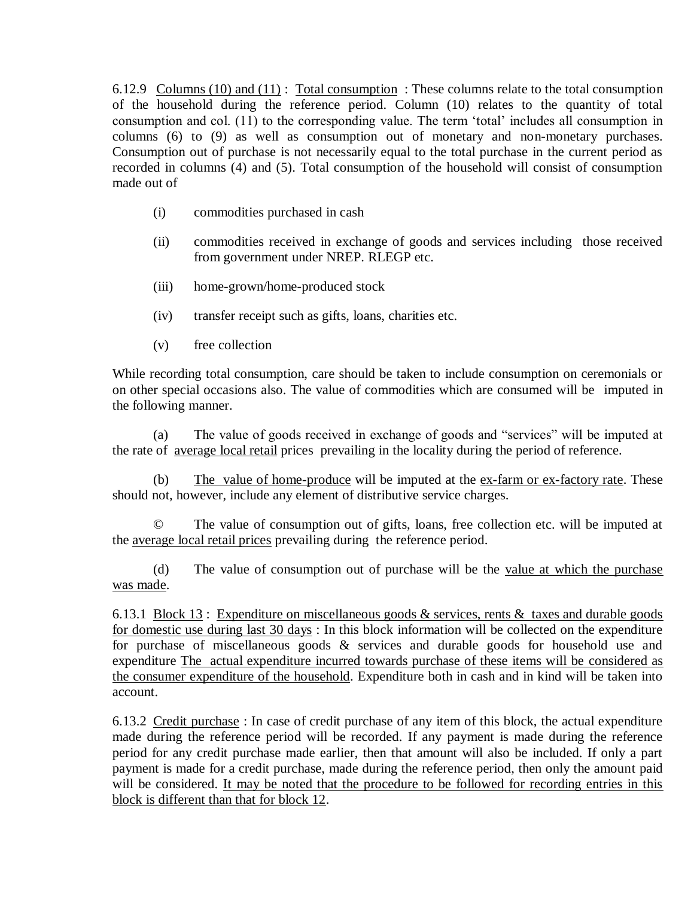6.12.9 Columns (10) and (11) : Total consumption : These columns relate to the total consumption of the household during the reference period. Column (10) relates to the quantity of total consumption and col. (11) to the corresponding value. The term 'total' includes all consumption in columns (6) to (9) as well as consumption out of monetary and non-monetary purchases. Consumption out of purchase is not necessarily equal to the total purchase in the current period as recorded in columns (4) and (5). Total consumption of the household will consist of consumption made out of

- (i) commodities purchased in cash
- (ii) commodities received in exchange of goods and services including those received from government under NREP. RLEGP etc.
- (iii) home-grown/home-produced stock
- (iv) transfer receipt such as gifts, loans, charities etc.
- (v) free collection

While recording total consumption, care should be taken to include consumption on ceremonials or on other special occasions also. The value of commodities which are consumed will be imputed in the following manner.

(a) The value of goods received in exchange of goods and "services" will be imputed at the rate of average local retail prices prevailing in the locality during the period of reference.

(b) The value of home-produce will be imputed at the ex-farm or ex-factory rate. These should not, however, include any element of distributive service charges.

© The value of consumption out of gifts, loans, free collection etc. will be imputed at the average local retail prices prevailing during the reference period.

(d) The value of consumption out of purchase will be the value at which the purchase was made.

6.13.1 Block 13 : Expenditure on miscellaneous goods & services, rents & taxes and durable goods for domestic use during last 30 days : In this block information will be collected on the expenditure for purchase of miscellaneous goods & services and durable goods for household use and expenditure The actual expenditure incurred towards purchase of these items will be considered as the consumer expenditure of the household. Expenditure both in cash and in kind will be taken into account.

6.13.2 Credit purchase : In case of credit purchase of any item of this block, the actual expenditure made during the reference period will be recorded. If any payment is made during the reference period for any credit purchase made earlier, then that amount will also be included. If only a part payment is made for a credit purchase, made during the reference period, then only the amount paid will be considered. It may be noted that the procedure to be followed for recording entries in this block is different than that for block 12.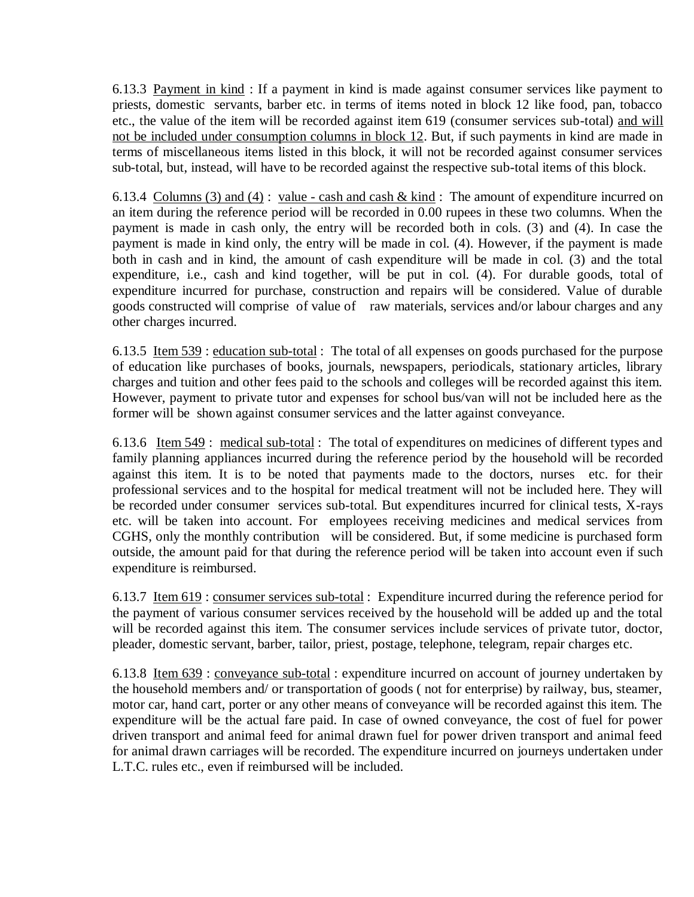6.13.3 Payment in kind : If a payment in kind is made against consumer services like payment to priests, domestic servants, barber etc. in terms of items noted in block 12 like food, pan, tobacco etc., the value of the item will be recorded against item 619 (consumer services sub-total) and will not be included under consumption columns in block 12. But, if such payments in kind are made in terms of miscellaneous items listed in this block, it will not be recorded against consumer services sub-total, but, instead, will have to be recorded against the respective sub-total items of this block.

6.13.4 Columns (3) and (4): value - cash and cash & kind: The amount of expenditure incurred on an item during the reference period will be recorded in 0.00 rupees in these two columns. When the payment is made in cash only, the entry will be recorded both in cols. (3) and (4). In case the payment is made in kind only, the entry will be made in col. (4). However, if the payment is made both in cash and in kind, the amount of cash expenditure will be made in col. (3) and the total expenditure, i.e., cash and kind together, will be put in col. (4). For durable goods, total of expenditure incurred for purchase, construction and repairs will be considered. Value of durable goods constructed will comprise of value of raw materials, services and/or labour charges and any other charges incurred.

6.13.5 Item 539 : education sub-total : The total of all expenses on goods purchased for the purpose of education like purchases of books, journals, newspapers, periodicals, stationary articles, library charges and tuition and other fees paid to the schools and colleges will be recorded against this item. However, payment to private tutor and expenses for school bus/van will not be included here as the former will be shown against consumer services and the latter against conveyance.

6.13.6 Item 549 : medical sub-total : The total of expenditures on medicines of different types and family planning appliances incurred during the reference period by the household will be recorded against this item. It is to be noted that payments made to the doctors, nurses etc. for their professional services and to the hospital for medical treatment will not be included here. They will be recorded under consumer services sub-total. But expenditures incurred for clinical tests, X-rays etc. will be taken into account. For employees receiving medicines and medical services from CGHS, only the monthly contribution will be considered. But, if some medicine is purchased form outside, the amount paid for that during the reference period will be taken into account even if such expenditure is reimbursed.

6.13.7 Item 619 : consumer services sub-total : Expenditure incurred during the reference period for the payment of various consumer services received by the household will be added up and the total will be recorded against this item. The consumer services include services of private tutor, doctor, pleader, domestic servant, barber, tailor, priest, postage, telephone, telegram, repair charges etc.

6.13.8 Item 639 : conveyance sub-total : expenditure incurred on account of journey undertaken by the household members and/ or transportation of goods ( not for enterprise) by railway, bus, steamer, motor car, hand cart, porter or any other means of conveyance will be recorded against this item. The expenditure will be the actual fare paid. In case of owned conveyance, the cost of fuel for power driven transport and animal feed for animal drawn fuel for power driven transport and animal feed for animal drawn carriages will be recorded. The expenditure incurred on journeys undertaken under L.T.C. rules etc., even if reimbursed will be included.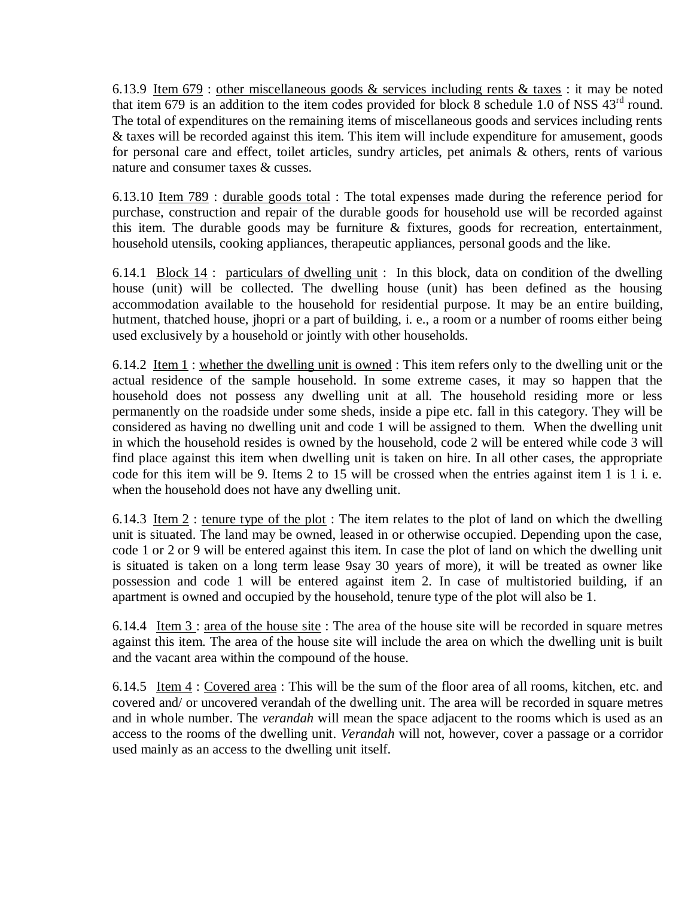6.13.9 Item 679 : other miscellaneous goods & services including rents & taxes : it may be noted that item 679 is an addition to the item codes provided for block  $\overline{8}$  schedule 1.0 of NSS 43<sup>rd</sup> round. The total of expenditures on the remaining items of miscellaneous goods and services including rents & taxes will be recorded against this item. This item will include expenditure for amusement, goods for personal care and effect, toilet articles, sundry articles, pet animals & others, rents of various nature and consumer taxes & cusses.

6.13.10 Item 789 : durable goods total : The total expenses made during the reference period for purchase, construction and repair of the durable goods for household use will be recorded against this item. The durable goods may be furniture & fixtures, goods for recreation, entertainment, household utensils, cooking appliances, therapeutic appliances, personal goods and the like.

6.14.1 Block 14 : particulars of dwelling unit : In this block, data on condition of the dwelling house (unit) will be collected. The dwelling house (unit) has been defined as the housing accommodation available to the household for residential purpose. It may be an entire building, hutment, thatched house, jhopri or a part of building, i. e., a room or a number of rooms either being used exclusively by a household or jointly with other households.

6.14.2 Item 1 : whether the dwelling unit is owned : This item refers only to the dwelling unit or the actual residence of the sample household. In some extreme cases, it may so happen that the household does not possess any dwelling unit at all. The household residing more or less permanently on the roadside under some sheds, inside a pipe etc. fall in this category. They will be considered as having no dwelling unit and code 1 will be assigned to them. When the dwelling unit in which the household resides is owned by the household, code 2 will be entered while code 3 will find place against this item when dwelling unit is taken on hire. In all other cases, the appropriate code for this item will be 9. Items 2 to 15 will be crossed when the entries against item 1 is 1 i. e. when the household does not have any dwelling unit.

6.14.3 Item  $2$ : tenure type of the plot: The item relates to the plot of land on which the dwelling unit is situated. The land may be owned, leased in or otherwise occupied. Depending upon the case, code 1 or 2 or 9 will be entered against this item. In case the plot of land on which the dwelling unit is situated is taken on a long term lease 9say 30 years of more), it will be treated as owner like possession and code 1 will be entered against item 2. In case of multistoried building, if an apartment is owned and occupied by the household, tenure type of the plot will also be 1.

6.14.4 Item 3 : area of the house site : The area of the house site will be recorded in square metres against this item. The area of the house site will include the area on which the dwelling unit is built and the vacant area within the compound of the house.

6.14.5 Item 4 : Covered area : This will be the sum of the floor area of all rooms, kitchen, etc. and covered and/ or uncovered verandah of the dwelling unit. The area will be recorded in square metres and in whole number. The *verandah* will mean the space adjacent to the rooms which is used as an access to the rooms of the dwelling unit. *Verandah* will not, however, cover a passage or a corridor used mainly as an access to the dwelling unit itself.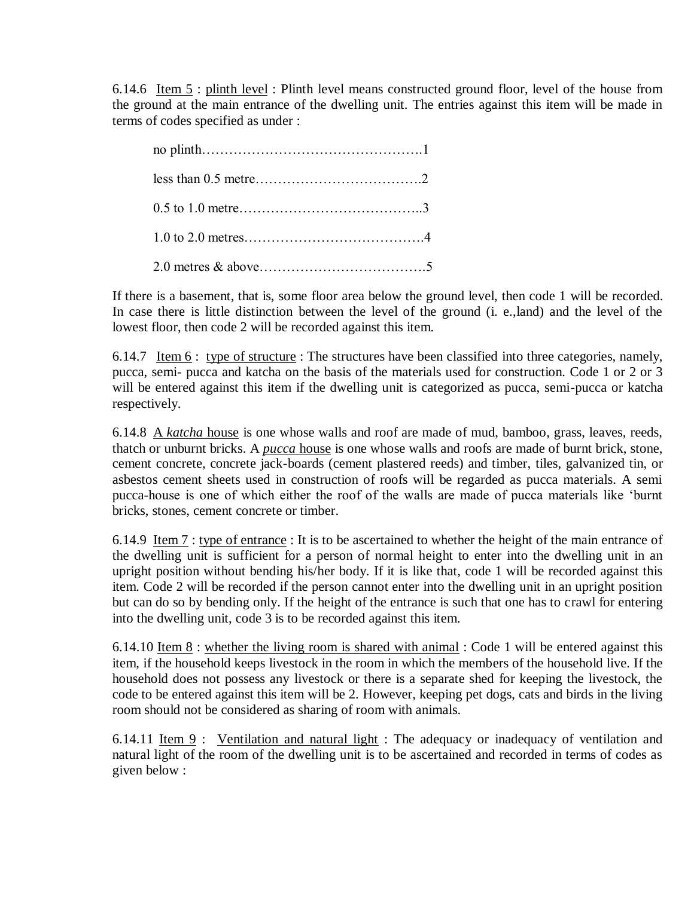6.14.6 Item 5 : plinth level : Plinth level means constructed ground floor, level of the house from the ground at the main entrance of the dwelling unit. The entries against this item will be made in terms of codes specified as under :

If there is a basement, that is, some floor area below the ground level, then code 1 will be recorded. In case there is little distinction between the level of the ground (i. e.,land) and the level of the lowest floor, then code 2 will be recorded against this item.

6.14.7 Item 6 : type of structure : The structures have been classified into three categories, namely, pucca, semi- pucca and katcha on the basis of the materials used for construction. Code 1 or 2 or 3 will be entered against this item if the dwelling unit is categorized as pucca, semi-pucca or katcha respectively.

6.14.8 A *katcha* house is one whose walls and roof are made of mud, bamboo, grass, leaves, reeds, thatch or unburnt bricks. A *pucca* house is one whose walls and roofs are made of burnt brick, stone, cement concrete, concrete jack-boards (cement plastered reeds) and timber, tiles, galvanized tin, or asbestos cement sheets used in construction of roofs will be regarded as pucca materials. A semi pucca-house is one of which either the roof of the walls are made of pucca materials like "burnt bricks, stones, cement concrete or timber.

6.14.9 Item 7 : type of entrance : It is to be ascertained to whether the height of the main entrance of the dwelling unit is sufficient for a person of normal height to enter into the dwelling unit in an upright position without bending his/her body. If it is like that, code 1 will be recorded against this item. Code 2 will be recorded if the person cannot enter into the dwelling unit in an upright position but can do so by bending only. If the height of the entrance is such that one has to crawl for entering into the dwelling unit, code 3 is to be recorded against this item.

6.14.10 Item  $8:$  whether the living room is shared with animal : Code 1 will be entered against this item, if the household keeps livestock in the room in which the members of the household live. If the household does not possess any livestock or there is a separate shed for keeping the livestock, the code to be entered against this item will be 2. However, keeping pet dogs, cats and birds in the living room should not be considered as sharing of room with animals.

6.14.11 Item  $9:$  Ventilation and natural light : The adequacy or inadequacy of ventilation and natural light of the room of the dwelling unit is to be ascertained and recorded in terms of codes as given below :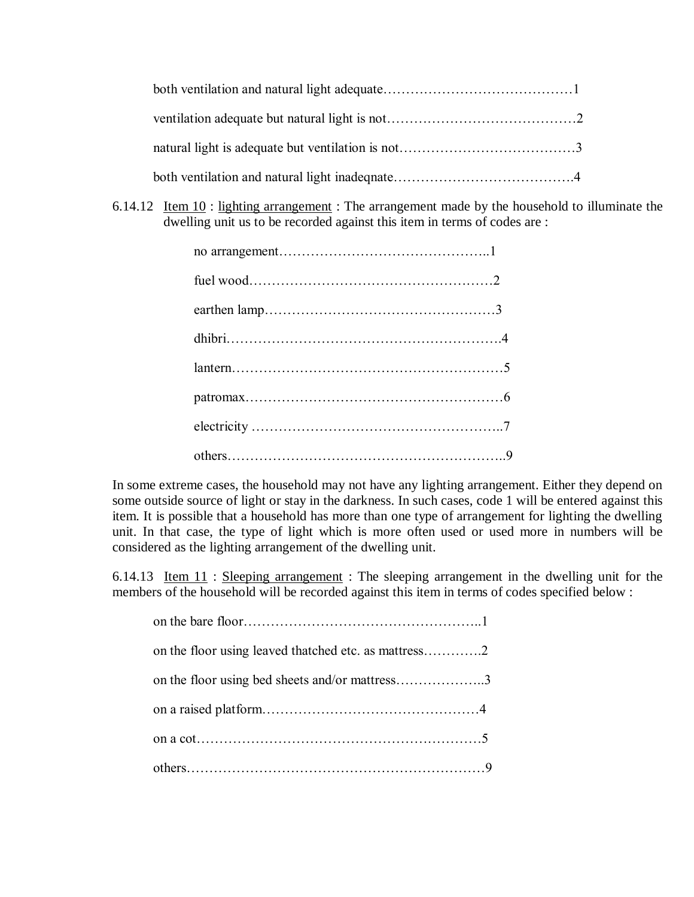6.14.12 Item 10 : lighting arrangement : The arrangement made by the household to illuminate the dwelling unit us to be recorded against this item in terms of codes are :

In some extreme cases, the household may not have any lighting arrangement. Either they depend on some outside source of light or stay in the darkness. In such cases, code 1 will be entered against this item. It is possible that a household has more than one type of arrangement for lighting the dwelling unit. In that case, the type of light which is more often used or used more in numbers will be considered as the lighting arrangement of the dwelling unit.

6.14.13 Item 11 : Sleeping arrangement : The sleeping arrangement in the dwelling unit for the members of the household will be recorded against this item in terms of codes specified below :

| on the floor using leaved thatched etc. as mattress2 |  |
|------------------------------------------------------|--|
| on the floor using bed sheets and/or mattress3       |  |
|                                                      |  |
|                                                      |  |
|                                                      |  |